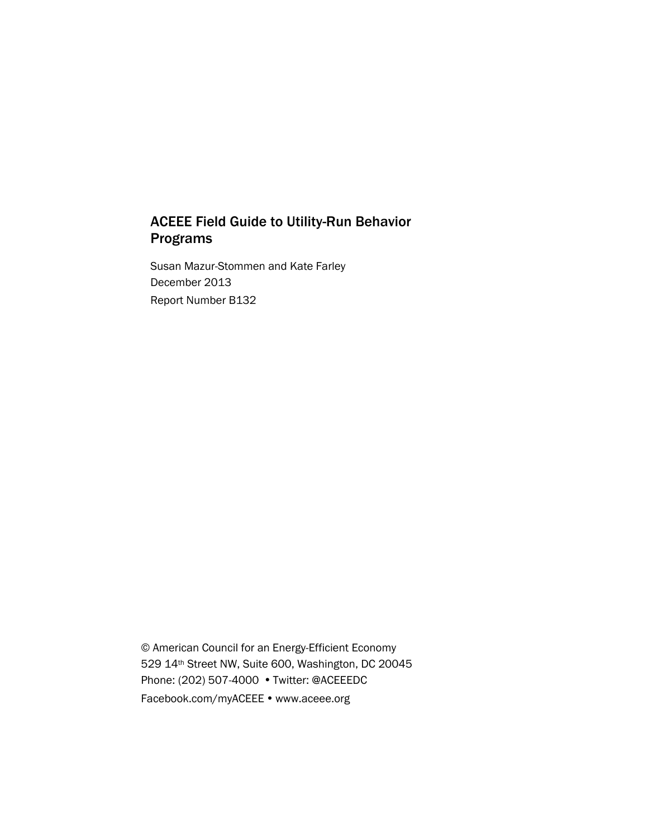# ACEEE Field Guide to Utility-Run Behavior Programs

Susan Mazur-Stommen and Kate Farley December 2013 Report Number B132

© American Council for an Energy-Efficient Economy 529 14th Street NW, Suite 600, Washington, DC 20045 Phone: (202) 507-4000 • Twitter: @ACEEEDC Facebook.com/myACEEE • www.aceee.org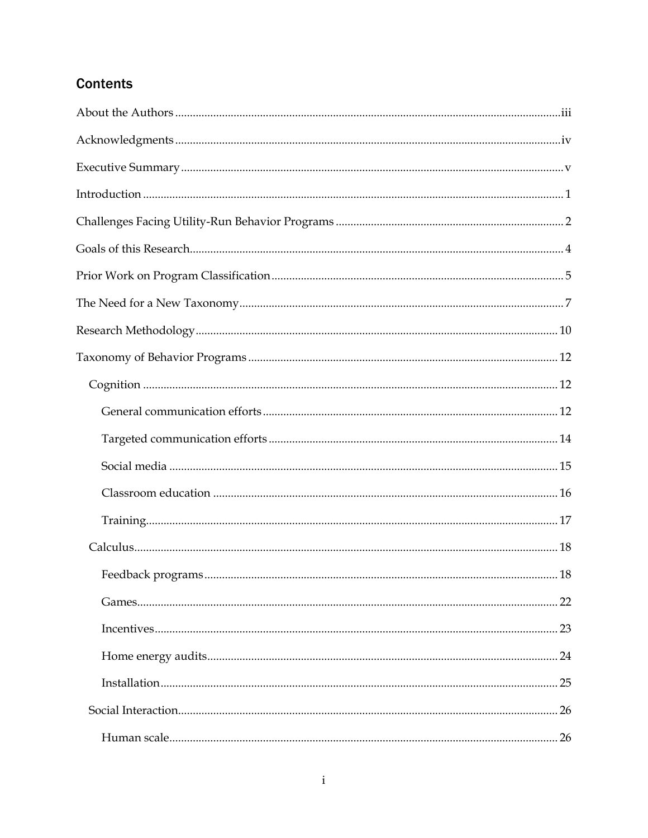# **Contents**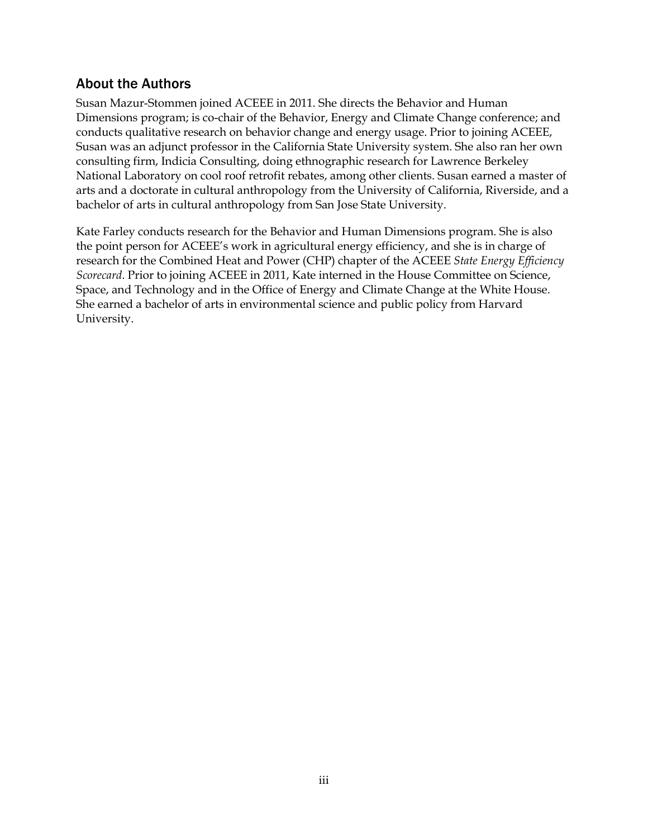# <span id="page-3-0"></span>About the Authors

Susan Mazur-Stommen joined ACEEE in 2011. She directs the Behavior and Human Dimensions program; is co-chair of the Behavior, Energy and Climate Change conference; and conducts qualitative research on behavior change and energy usage. Prior to joining ACEEE, Susan was an adjunct professor in the California State University system. She also ran her own consulting firm, Indicia Consulting, doing ethnographic research for Lawrence Berkeley National Laboratory on cool roof retrofit rebates, among other clients. Susan earned a master of arts and a doctorate in cultural anthropology from the University of California, Riverside, and a bachelor of arts in cultural anthropology from San Jose State University.

Kate Farley conducts research for the Behavior and Human Dimensions program. She is also the point person for ACEEE's work in agricultural energy efficiency, and she is in charge of research for the Combined Heat and Power (CHP) chapter of the ACEEE *State Energy Efficiency Scorecard*. Prior to joining ACEEE in 2011, Kate interned in the House Committee on Science, Space, and Technology and in the Office of Energy and Climate Change at the White House. She earned a bachelor of arts in environmental science and public policy from Harvard University.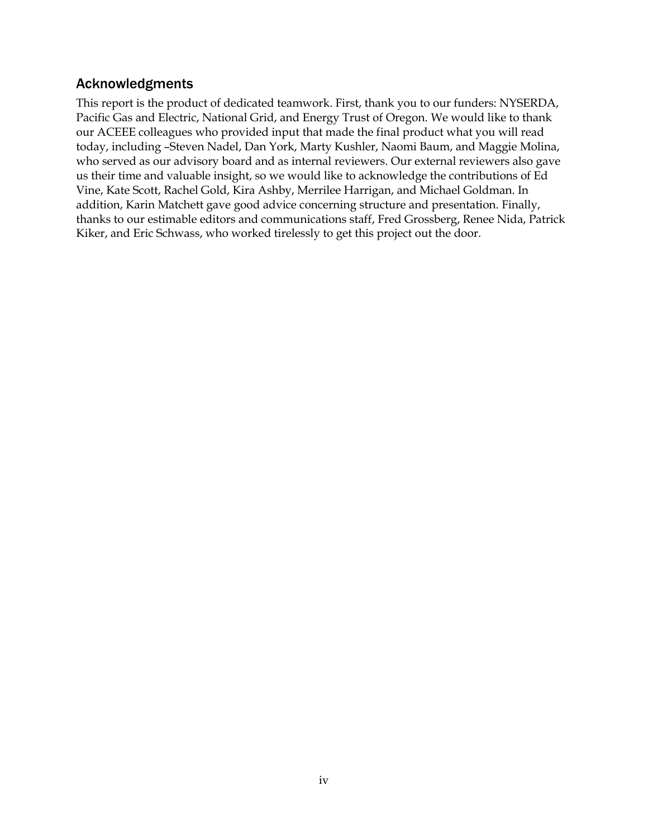# <span id="page-4-0"></span>Acknowledgments

This report is the product of dedicated teamwork. First, thank you to our funders: NYSERDA, Pacific Gas and Electric, National Grid, and Energy Trust of Oregon. We would like to thank our ACEEE colleagues who provided input that made the final product what you will read today, including –Steven Nadel, Dan York, Marty Kushler, Naomi Baum, and Maggie Molina, who served as our advisory board and as internal reviewers. Our external reviewers also gave us their time and valuable insight, so we would like to acknowledge the contributions of Ed Vine, Kate Scott, Rachel Gold, Kira Ashby, Merrilee Harrigan, and Michael Goldman. In addition, Karin Matchett gave good advice concerning structure and presentation. Finally, thanks to our estimable editors and communications staff, Fred Grossberg, Renee Nida, Patrick Kiker, and Eric Schwass, who worked tirelessly to get this project out the door.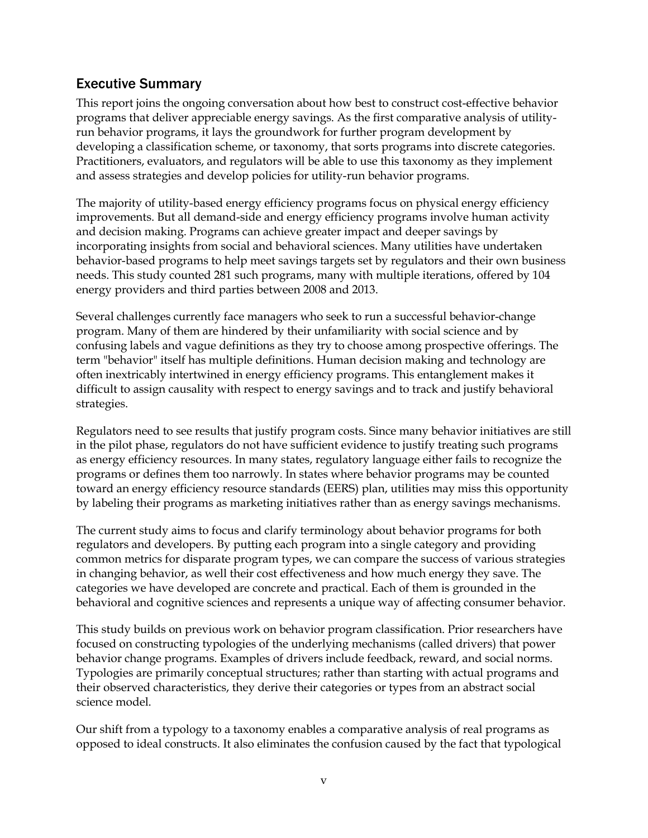# <span id="page-5-0"></span>Executive Summary

This report joins the ongoing conversation about how best to construct cost-effective behavior programs that deliver appreciable energy savings. As the first comparative analysis of utilityrun behavior programs, it lays the groundwork for further program development by developing a classification scheme, or taxonomy, that sorts programs into discrete categories. Practitioners, evaluators, and regulators will be able to use this taxonomy as they implement and assess strategies and develop policies for utility-run behavior programs.

The majority of utility-based energy efficiency programs focus on physical energy efficiency improvements. But all demand-side and energy efficiency programs involve human activity and decision making. Programs can achieve greater impact and deeper savings by incorporating insights from social and behavioral sciences. Many utilities have undertaken behavior-based programs to help meet savings targets set by regulators and their own business needs. This study counted 281 such programs, many with multiple iterations, offered by 104 energy providers and third parties between 2008 and 2013.

Several challenges currently face managers who seek to run a successful behavior-change program. Many of them are hindered by their unfamiliarity with social science and by confusing labels and vague definitions as they try to choose among prospective offerings. The term "behavior" itself has multiple definitions. Human decision making and technology are often inextricably intertwined in energy efficiency programs. This entanglement makes it difficult to assign causality with respect to energy savings and to track and justify behavioral strategies.

Regulators need to see results that justify program costs. Since many behavior initiatives are still in the pilot phase, regulators do not have sufficient evidence to justify treating such programs as energy efficiency resources. In many states, regulatory language either fails to recognize the programs or defines them too narrowly. In states where behavior programs may be counted toward an energy efficiency resource standards (EERS) plan, utilities may miss this opportunity by labeling their programs as marketing initiatives rather than as energy savings mechanisms.

The current study aims to focus and clarify terminology about behavior programs for both regulators and developers. By putting each program into a single category and providing common metrics for disparate program types, we can compare the success of various strategies in changing behavior, as well their cost effectiveness and how much energy they save. The categories we have developed are concrete and practical. Each of them is grounded in the behavioral and cognitive sciences and represents a unique way of affecting consumer behavior.

This study builds on previous work on behavior program classification. Prior researchers have focused on constructing typologies of the underlying mechanisms (called drivers) that power behavior change programs. Examples of drivers include feedback, reward, and social norms. Typologies are primarily conceptual structures; rather than starting with actual programs and their observed characteristics, they derive their categories or types from an abstract social science model.

Our shift from a typology to a taxonomy enables a comparative analysis of real programs as opposed to ideal constructs. It also eliminates the confusion caused by the fact that typological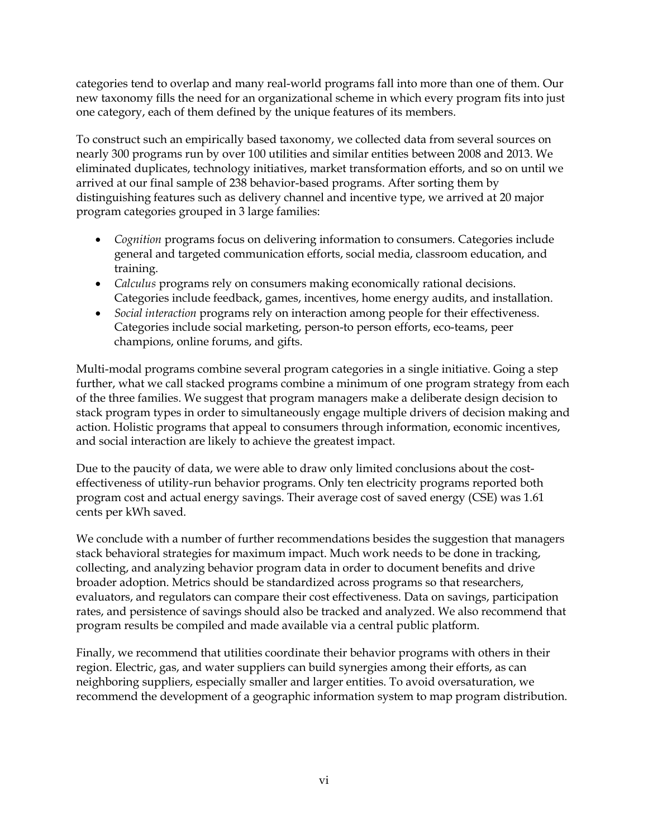categories tend to overlap and many real-world programs fall into more than one of them. Our new taxonomy fills the need for an organizational scheme in which every program fits into just one category, each of them defined by the unique features of its members.

To construct such an empirically based taxonomy, we collected data from several sources on nearly 300 programs run by over 100 utilities and similar entities between 2008 and 2013. We eliminated duplicates, technology initiatives, market transformation efforts, and so on until we arrived at our final sample of 238 behavior-based programs. After sorting them by distinguishing features such as delivery channel and incentive type, we arrived at 20 major program categories grouped in 3 large families:

- *Cognition* programs focus on delivering information to consumers. Categories include general and targeted communication efforts, social media, classroom education, and training.
- *Calculus* programs rely on consumers making economically rational decisions. Categories include feedback, games, incentives, home energy audits, and installation.
- *Social interaction* programs rely on interaction among people for their effectiveness. Categories include social marketing, person-to person efforts, eco-teams, peer champions, online forums, and gifts.

Multi-modal programs combine several program categories in a single initiative. Going a step further, what we call stacked programs combine a minimum of one program strategy from each of the three families. We suggest that program managers make a deliberate design decision to stack program types in order to simultaneously engage multiple drivers of decision making and action. Holistic programs that appeal to consumers through information, economic incentives, and social interaction are likely to achieve the greatest impact.

Due to the paucity of data, we were able to draw only limited conclusions about the costeffectiveness of utility-run behavior programs. Only ten electricity programs reported both program cost and actual energy savings. Their average cost of saved energy (CSE) was 1.61 cents per kWh saved.

We conclude with a number of further recommendations besides the suggestion that managers stack behavioral strategies for maximum impact. Much work needs to be done in tracking, collecting, and analyzing behavior program data in order to document benefits and drive broader adoption. Metrics should be standardized across programs so that researchers, evaluators, and regulators can compare their cost effectiveness. Data on savings, participation rates, and persistence of savings should also be tracked and analyzed. We also recommend that program results be compiled and made available via a central public platform.

Finally, we recommend that utilities coordinate their behavior programs with others in their region. Electric, gas, and water suppliers can build synergies among their efforts, as can neighboring suppliers, especially smaller and larger entities. To avoid oversaturation, we recommend the development of a geographic information system to map program distribution.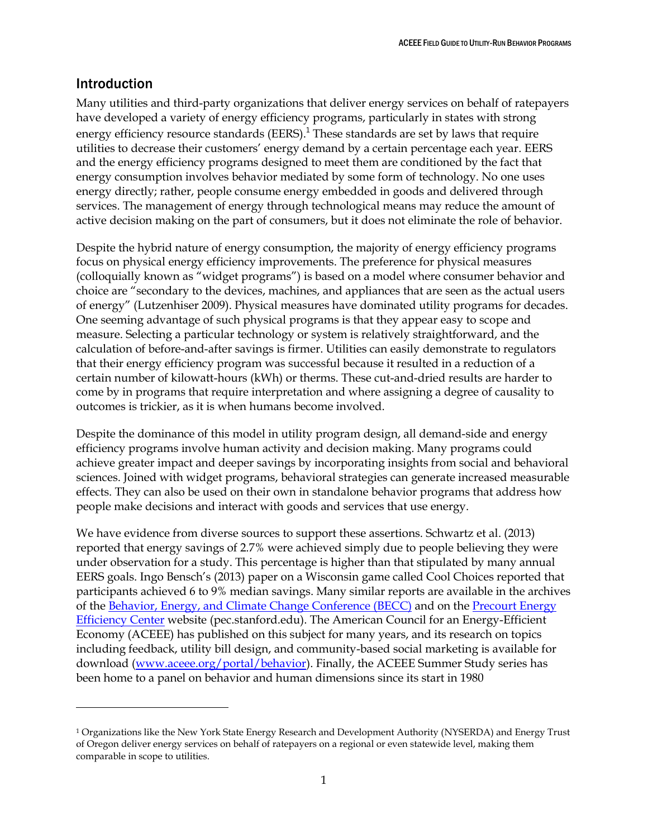# <span id="page-7-0"></span>Introduction

 $\overline{a}$ 

Many utilities and third-party organizations that deliver energy services on behalf of ratepayers have developed a variety of energy efficiency programs, particularly in states with strong energy efficiency resource standards (EERS). $<sup>1</sup>$  These standards are set by laws that require</sup> utilities to decrease their customers' energy demand by a certain percentage each year. EERS and the energy efficiency programs designed to meet them are conditioned by the fact that energy consumption involves behavior mediated by some form of technology. No one uses energy directly; rather, people consume energy embedded in goods and delivered through services. The management of energy through technological means may reduce the amount of active decision making on the part of consumers, but it does not eliminate the role of behavior.

Despite the hybrid nature of energy consumption, the majority of energy efficiency programs focus on physical energy efficiency improvements. The preference for physical measures (colloquially known as "widget programs") is based on a model where consumer behavior and choice are "secondary to the devices, machines, and appliances that are seen as the actual users of energy" (Lutzenhiser 2009). Physical measures have dominated utility programs for decades. One seeming advantage of such physical programs is that they appear easy to scope and measure. Selecting a particular technology or system is relatively straightforward, and the calculation of before-and-after savings is firmer. Utilities can easily demonstrate to regulators that their energy efficiency program was successful because it resulted in a reduction of a certain number of kilowatt-hours (kWh) or therms. These cut-and-dried results are harder to come by in programs that require interpretation and where assigning a degree of causality to outcomes is trickier, as it is when humans become involved.

Despite the dominance of this model in utility program design, all demand-side and energy efficiency programs involve human activity and decision making. Many programs could achieve greater impact and deeper savings by incorporating insights from social and behavioral sciences. Joined with widget programs, behavioral strategies can generate increased measurable effects. They can also be used on their own in standalone behavior programs that address how people make decisions and interact with goods and services that use energy.

We have evidence from diverse sources to support these assertions. Schwartz et al. (2013) reported that energy savings of 2.7% were achieved simply due to people believing they were under observation for a study. This percentage is higher than that stipulated by many annual EERS goals. Ingo Bensch's (2013) paper on a Wisconsin game called Cool Choices reported that participants achieved 6 to 9% median savings. Many similar reports are available in the archives of the [Behavior, Energy, and Climate Change Conference \(BECC\)](http://www.becconference.org/) and on the [Precourt Energy](http://www.peec.stanford.edu/behavior)  [Efficiency Center](http://www.peec.stanford.edu/behavior) website (pec.stanford.edu). The American Council for an Energy-Efficient Economy (ACEEE) has published on this subject for many years, and its research on topics including feedback, utility bill design, and community-based social marketing is available for download [\(www.aceee.org/portal/behavior\)](file:///C:/Users/Loaner%20%233.LOANER3-PC/AppData/Local/Microsoft/Windows/Temporary%20Internet%20Files/Content.Outlook/BE7XXCWU/www.aceee.org/portal/behavior). Finally, the ACEEE Summer Study series has been home to a panel on behavior and human dimensions since its start in 1980

<sup>1</sup> Organizations like the New York State Energy Research and Development Authority (NYSERDA) and Energy Trust of Oregon deliver energy services on behalf of ratepayers on a regional or even statewide level, making them comparable in scope to utilities.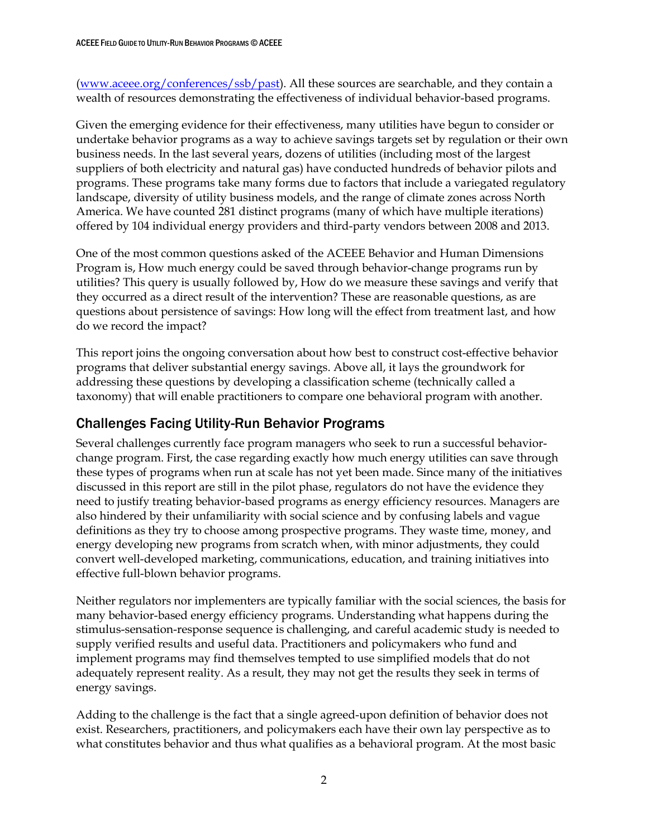[\(www.aceee.org/conferences/ssb/past\)](file:///C:/Users/Loaner%20%233.LOANER3-PC/AppData/Local/Microsoft/Windows/Temporary%20Internet%20Files/Content.Outlook/BE7XXCWU/www.aceee.org/conferences/ssb/past). All these sources are searchable, and they contain a wealth of resources demonstrating the effectiveness of individual behavior-based programs.

Given the emerging evidence for their effectiveness, many utilities have begun to consider or undertake behavior programs as a way to achieve savings targets set by regulation or their own business needs. In the last several years, dozens of utilities (including most of the largest suppliers of both electricity and natural gas) have conducted hundreds of behavior pilots and programs. These programs take many forms due to factors that include a variegated regulatory landscape, diversity of utility business models, and the range of climate zones across North America. We have counted 281 distinct programs (many of which have multiple iterations) offered by 104 individual energy providers and third-party vendors between 2008 and 2013.

One of the most common questions asked of the ACEEE Behavior and Human Dimensions Program is, How much energy could be saved through behavior-change programs run by utilities? This query is usually followed by, How do we measure these savings and verify that they occurred as a direct result of the intervention? These are reasonable questions, as are questions about persistence of savings: How long will the effect from treatment last, and how do we record the impact?

This report joins the ongoing conversation about how best to construct cost-effective behavior programs that deliver substantial energy savings. Above all, it lays the groundwork for addressing these questions by developing a classification scheme (technically called a taxonomy) that will enable practitioners to compare one behavioral program with another.

# <span id="page-8-0"></span>Challenges Facing Utility-Run Behavior Programs

Several challenges currently face program managers who seek to run a successful behaviorchange program. First, the case regarding exactly how much energy utilities can save through these types of programs when run at scale has not yet been made. Since many of the initiatives discussed in this report are still in the pilot phase, regulators do not have the evidence they need to justify treating behavior-based programs as energy efficiency resources. Managers are also hindered by their unfamiliarity with social science and by confusing labels and vague definitions as they try to choose among prospective programs. They waste time, money, and energy developing new programs from scratch when, with minor adjustments, they could convert well-developed marketing, communications, education, and training initiatives into effective full-blown behavior programs.

Neither regulators nor implementers are typically familiar with the social sciences, the basis for many behavior-based energy efficiency programs. Understanding what happens during the stimulus-sensation-response sequence is challenging, and careful academic study is needed to supply verified results and useful data. Practitioners and policymakers who fund and implement programs may find themselves tempted to use simplified models that do not adequately represent reality. As a result, they may not get the results they seek in terms of energy savings.

Adding to the challenge is the fact that a single agreed-upon definition of behavior does not exist. Researchers, practitioners, and policymakers each have their own lay perspective as to what constitutes behavior and thus what qualifies as a behavioral program. At the most basic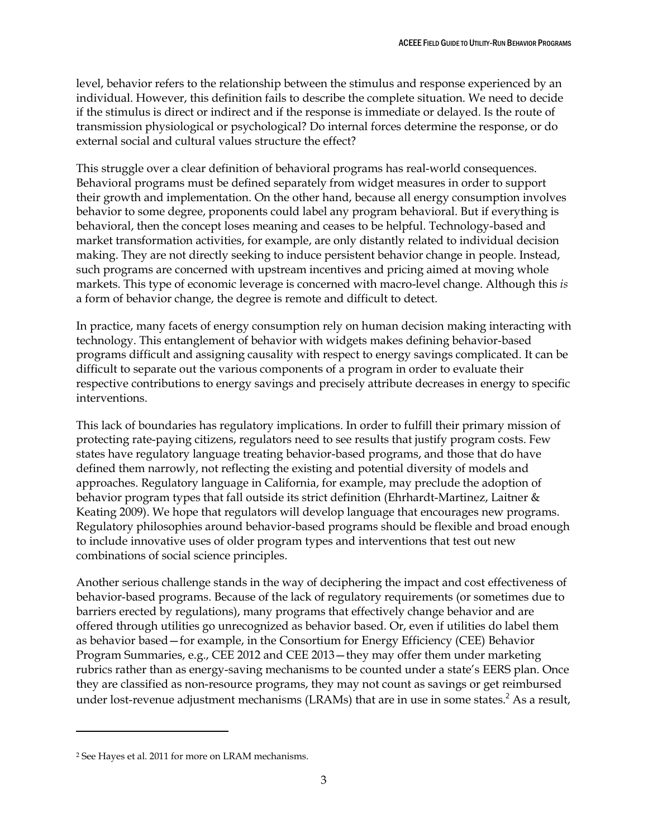level, behavior refers to the relationship between the stimulus and response experienced by an individual. However, this definition fails to describe the complete situation. We need to decide if the stimulus is direct or indirect and if the response is immediate or delayed. Is the route of transmission physiological or psychological? Do internal forces determine the response, or do external social and cultural values structure the effect?

This struggle over a clear definition of behavioral programs has real-world consequences. Behavioral programs must be defined separately from widget measures in order to support their growth and implementation. On the other hand, because all energy consumption involves behavior to some degree, proponents could label any program behavioral. But if everything is behavioral, then the concept loses meaning and ceases to be helpful. Technology-based and market transformation activities, for example, are only distantly related to individual decision making. They are not directly seeking to induce persistent behavior change in people. Instead, such programs are concerned with upstream incentives and pricing aimed at moving whole markets. This type of economic leverage is concerned with macro-level change. Although this *is* a form of behavior change, the degree is remote and difficult to detect.

In practice, many facets of energy consumption rely on human decision making interacting with technology. This entanglement of behavior with widgets makes defining behavior-based programs difficult and assigning causality with respect to energy savings complicated. It can be difficult to separate out the various components of a program in order to evaluate their respective contributions to energy savings and precisely attribute decreases in energy to specific interventions.

This lack of boundaries has regulatory implications. In order to fulfill their primary mission of protecting rate-paying citizens, regulators need to see results that justify program costs. Few states have regulatory language treating behavior-based programs, and those that do have defined them narrowly, not reflecting the existing and potential diversity of models and approaches. Regulatory language in California, for example, may preclude the adoption of behavior program types that fall outside its strict definition (Ehrhardt-Martinez, Laitner & Keating 2009). We hope that regulators will develop language that encourages new programs. Regulatory philosophies around behavior-based programs should be flexible and broad enough to include innovative uses of older program types and interventions that test out new combinations of social science principles.

Another serious challenge stands in the way of deciphering the impact and cost effectiveness of behavior-based programs. Because of the lack of regulatory requirements (or sometimes due to barriers erected by regulations), many programs that effectively change behavior and are offered through utilities go unrecognized as behavior based. Or, even if utilities do label them as behavior based—for example, in the Consortium for Energy Efficiency (CEE) Behavior Program Summaries, e.g., CEE 2012 and CEE 2013—they may offer them under marketing rubrics rather than as energy-saving mechanisms to be counted under a state's EERS plan. Once they are classified as non-resource programs, they may not count as savings or get reimbursed under lost-revenue adjustment mechanisms (LRAMs) that are in use in some states.<sup>2</sup> As a result,

 $\overline{a}$ 

<sup>2</sup> See Hayes et al. 2011 for more on LRAM mechanisms.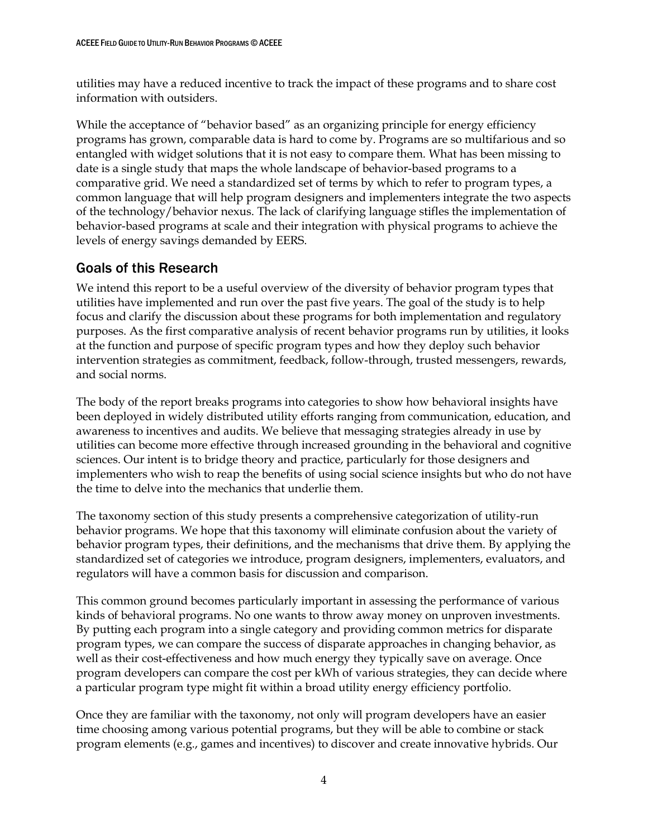utilities may have a reduced incentive to track the impact of these programs and to share cost information with outsiders.

While the acceptance of "behavior based" as an organizing principle for energy efficiency programs has grown, comparable data is hard to come by. Programs are so multifarious and so entangled with widget solutions that it is not easy to compare them. What has been missing to date is a single study that maps the whole landscape of behavior-based programs to a comparative grid. We need a standardized set of terms by which to refer to program types, a common language that will help program designers and implementers integrate the two aspects of the technology/behavior nexus. The lack of clarifying language stifles the implementation of behavior-based programs at scale and their integration with physical programs to achieve the levels of energy savings demanded by EERS.

# <span id="page-10-0"></span>Goals of this Research

We intend this report to be a useful overview of the diversity of behavior program types that utilities have implemented and run over the past five years. The goal of the study is to help focus and clarify the discussion about these programs for both implementation and regulatory purposes. As the first comparative analysis of recent behavior programs run by utilities, it looks at the function and purpose of specific program types and how they deploy such behavior intervention strategies as commitment, feedback, follow-through, trusted messengers, rewards, and social norms.

The body of the report breaks programs into categories to show how behavioral insights have been deployed in widely distributed utility efforts ranging from communication, education, and awareness to incentives and audits. We believe that messaging strategies already in use by utilities can become more effective through increased grounding in the behavioral and cognitive sciences. Our intent is to bridge theory and practice, particularly for those designers and implementers who wish to reap the benefits of using social science insights but who do not have the time to delve into the mechanics that underlie them.

The taxonomy section of this study presents a comprehensive categorization of utility-run behavior programs. We hope that this taxonomy will eliminate confusion about the variety of behavior program types, their definitions, and the mechanisms that drive them. By applying the standardized set of categories we introduce, program designers, implementers, evaluators, and regulators will have a common basis for discussion and comparison.

This common ground becomes particularly important in assessing the performance of various kinds of behavioral programs. No one wants to throw away money on unproven investments. By putting each program into a single category and providing common metrics for disparate program types, we can compare the success of disparate approaches in changing behavior, as well as their cost-effectiveness and how much energy they typically save on average. Once program developers can compare the cost per kWh of various strategies, they can decide where a particular program type might fit within a broad utility energy efficiency portfolio.

Once they are familiar with the taxonomy, not only will program developers have an easier time choosing among various potential programs, but they will be able to combine or stack program elements (e.g., games and incentives) to discover and create innovative hybrids. Our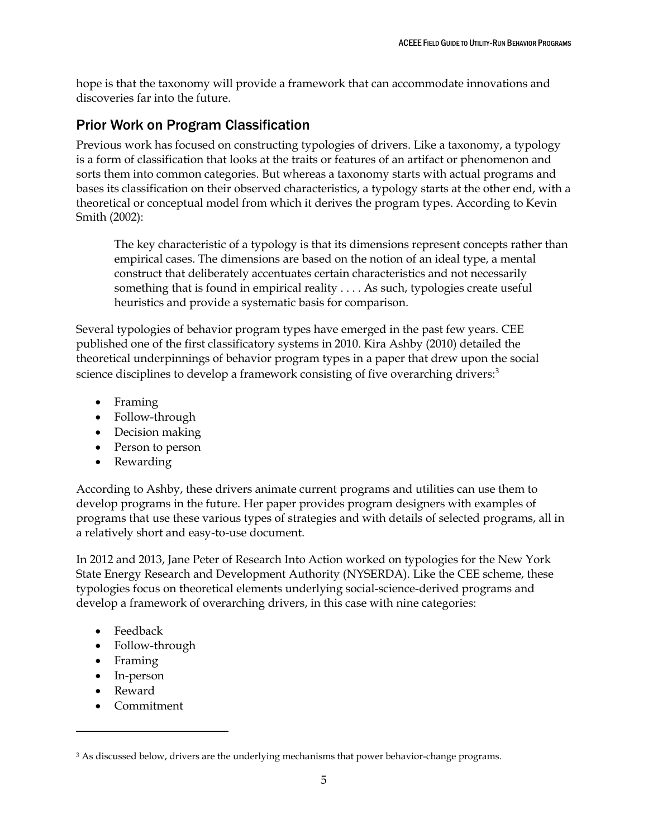hope is that the taxonomy will provide a framework that can accommodate innovations and discoveries far into the future.

# <span id="page-11-0"></span>Prior Work on Program Classification

Previous work has focused on constructing typologies of drivers. Like a taxonomy, a typology is a form of classification that looks at the traits or features of an artifact or phenomenon and sorts them into common categories. But whereas a taxonomy starts with actual programs and bases its classification on their observed characteristics, a typology starts at the other end, with a theoretical or conceptual model from which it derives the program types. According to Kevin Smith (2002):

The key characteristic of a typology is that its dimensions represent concepts rather than empirical cases. The dimensions are based on the notion of an ideal type, a mental construct that deliberately accentuates certain characteristics and not necessarily something that is found in empirical reality . . . . As such, typologies create useful heuristics and provide a systematic basis for comparison.

Several typologies of behavior program types have emerged in the past few years. CEE published one of the first classificatory systems in 2010. Kira Ashby (2010) detailed the theoretical underpinnings of behavior program types in a paper that drew upon the social science disciplines to develop a framework consisting of five overarching drivers:<sup>3</sup>

- Framing
- Follow-through
- Decision making
- Person to person
- Rewarding

According to Ashby, these drivers animate current programs and utilities can use them to develop programs in the future. Her paper provides program designers with examples of programs that use these various types of strategies and with details of selected programs, all in a relatively short and easy-to-use document.

In 2012 and 2013, Jane Peter of Research Into Action worked on typologies for the New York State Energy Research and Development Authority (NYSERDA). Like the CEE scheme, these typologies focus on theoretical elements underlying social-science-derived programs and develop a framework of overarching drivers, in this case with nine categories:

- Feedback
- Follow-through
- Framing
- In-person
- Reward

 $\overline{a}$ 

• Commitment

<sup>&</sup>lt;sup>3</sup> As discussed below, drivers are the underlying mechanisms that power behavior-change programs.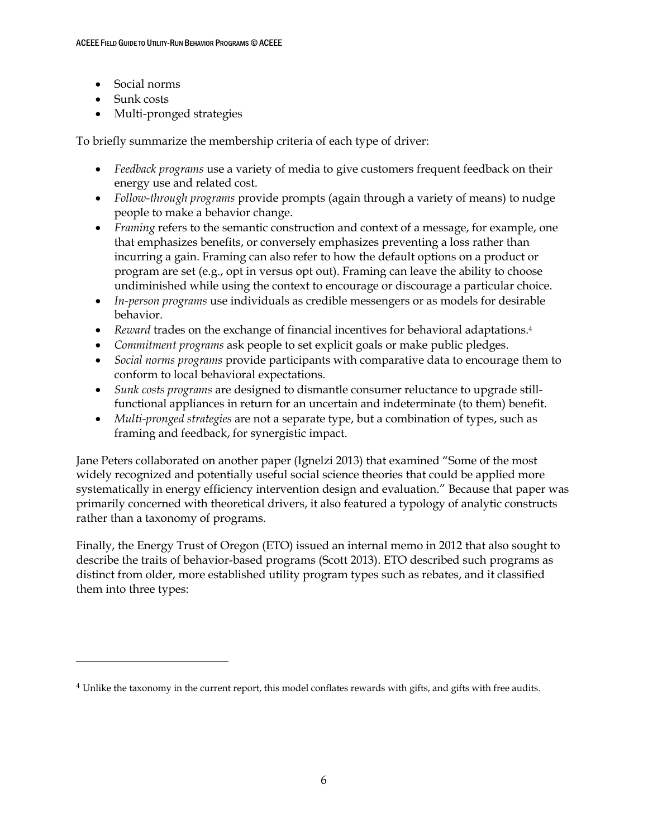- Social norms
- Sunk costs

 $\overline{a}$ 

• Multi-pronged strategies

To briefly summarize the membership criteria of each type of driver:

- *Feedback programs* use a variety of media to give customers frequent feedback on their energy use and related cost.
- *Follow-through programs* provide prompts (again through a variety of means) to nudge people to make a behavior change.
- *Framing* refers to the semantic construction and context of a message, for example, one that emphasizes benefits, or conversely emphasizes preventing a loss rather than incurring a gain. Framing can also refer to how the default options on a product or program are set (e.g., opt in versus opt out). Framing can leave the ability to choose undiminished while using the context to encourage or discourage a particular choice.
- *In-person programs* use individuals as credible messengers or as models for desirable behavior.
- *Reward* trades on the exchange of financial incentives for behavioral adaptations.<sup>4</sup>
- *Commitment programs* ask people to set explicit goals or make public pledges.
- *Social norms programs* provide participants with comparative data to encourage them to conform to local behavioral expectations.
- *Sunk costs programs* are designed to dismantle consumer reluctance to upgrade stillfunctional appliances in return for an uncertain and indeterminate (to them) benefit.
- *Multi-pronged strategies* are not a separate type, but a combination of types, such as framing and feedback, for synergistic impact.

Jane Peters collaborated on another paper (Ignelzi 2013) that examined "Some of the most widely recognized and potentially useful social science theories that could be applied more systematically in energy efficiency intervention design and evaluation." Because that paper was primarily concerned with theoretical drivers, it also featured a typology of analytic constructs rather than a taxonomy of programs.

Finally, the Energy Trust of Oregon (ETO) issued an internal memo in 2012 that also sought to describe the traits of behavior-based programs (Scott 2013). ETO described such programs as distinct from older, more established utility program types such as rebates, and it classified them into three types:

<sup>4</sup> Unlike the taxonomy in the current report, this model conflates rewards with gifts, and gifts with free audits.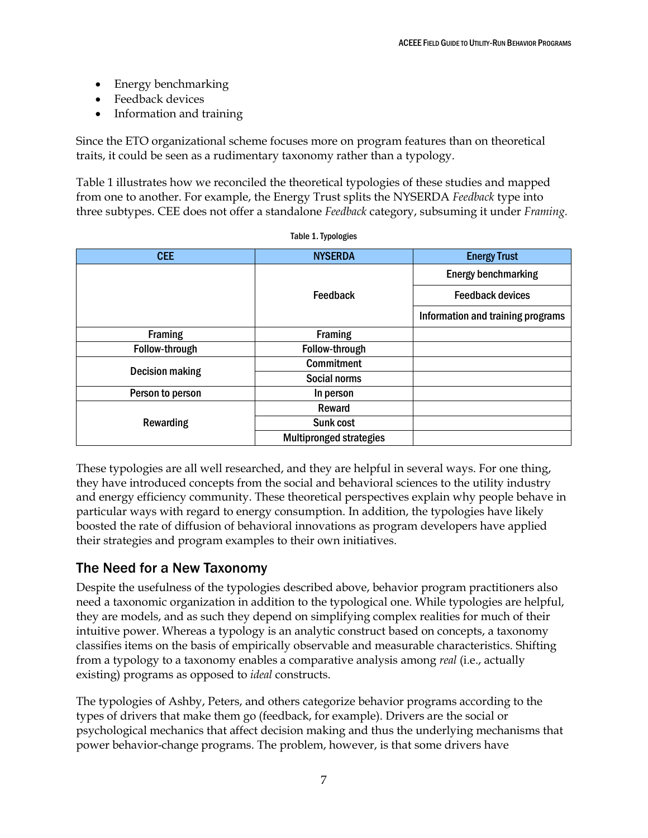- Energy benchmarking
- Feedback devices
- Information and training

Since the ETO organizational scheme focuses more on program features than on theoretical traits, it could be seen as a rudimentary taxonomy rather than a typology.

Table 1 illustrates how we reconciled the theoretical typologies of these studies and mapped from one to another. For example, the Energy Trust splits the NYSERDA *Feedback* type into three subtypes. CEE does not offer a standalone *Feedback* category, subsuming it under *Framing.*

| <b>CEE</b>             | <b>NYSERDA</b>                 | <b>Energy Trust</b>               |
|------------------------|--------------------------------|-----------------------------------|
|                        |                                | <b>Energy benchmarking</b>        |
|                        | Feedback                       | <b>Feedback devices</b>           |
|                        |                                | Information and training programs |
| <b>Framing</b>         | <b>Framing</b>                 |                                   |
| Follow-through         | Follow-through                 |                                   |
| <b>Decision making</b> | <b>Commitment</b>              |                                   |
|                        | Social norms                   |                                   |
| Person to person       | In person                      |                                   |
| Rewarding              | Reward                         |                                   |
|                        | Sunk cost                      |                                   |
|                        | <b>Multipronged strategies</b> |                                   |

Table 1. Typologies

These typologies are all well researched, and they are helpful in several ways. For one thing, they have introduced concepts from the social and behavioral sciences to the utility industry and energy efficiency community. These theoretical perspectives explain why people behave in particular ways with regard to energy consumption. In addition, the typologies have likely boosted the rate of diffusion of behavioral innovations as program developers have applied their strategies and program examples to their own initiatives.

# <span id="page-13-0"></span>The Need for a New Taxonomy

Despite the usefulness of the typologies described above, behavior program practitioners also need a taxonomic organization in addition to the typological one. While typologies are helpful, they are models, and as such they depend on simplifying complex realities for much of their intuitive power. Whereas a typology is an analytic construct based on concepts, a taxonomy classifies items on the basis of empirically observable and measurable characteristics. Shifting from a typology to a taxonomy enables a comparative analysis among *real* (i.e., actually existing) programs as opposed to *ideal* constructs.

The typologies of Ashby, Peters, and others categorize behavior programs according to the types of drivers that make them go (feedback, for example). Drivers are the social or psychological mechanics that affect decision making and thus the underlying mechanisms that power behavior-change programs. The problem, however, is that some drivers have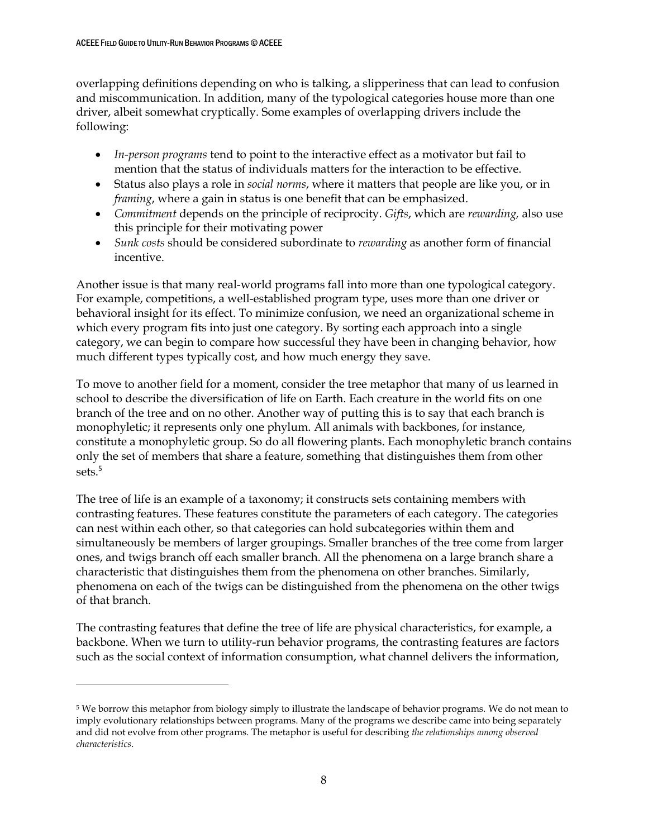$\overline{a}$ 

overlapping definitions depending on who is talking, a slipperiness that can lead to confusion and miscommunication. In addition, many of the typological categories house more than one driver, albeit somewhat cryptically. Some examples of overlapping drivers include the following:

- *In-person programs* tend to point to the interactive effect as a motivator but fail to mention that the status of individuals matters for the interaction to be effective.
- Status also plays a role in *social norms*, where it matters that people are like you, or in *framing*, where a gain in status is one benefit that can be emphasized.
- *Commitment* depends on the principle of reciprocity. *Gifts*, which are *rewarding,* also use this principle for their motivating power
- *Sunk costs* should be considered subordinate to *rewarding* as another form of financial incentive.

Another issue is that many real-world programs fall into more than one typological category. For example, competitions, a well-established program type, uses more than one driver or behavioral insight for its effect. To minimize confusion, we need an organizational scheme in which every program fits into just one category. By sorting each approach into a single category, we can begin to compare how successful they have been in changing behavior, how much different types typically cost, and how much energy they save.

To move to another field for a moment, consider the tree metaphor that many of us learned in school to describe the diversification of life on Earth. Each creature in the world fits on one branch of the tree and on no other. Another way of putting this is to say that each branch is monophyletic; it represents only one phylum. All animals with backbones, for instance, constitute a monophyletic group. So do all flowering plants. Each monophyletic branch contains only the set of members that share a feature, something that distinguishes them from other sets.<sup>5</sup>

The tree of life is an example of a taxonomy; it constructs sets containing members with contrasting features. These features constitute the parameters of each category. The categories can nest within each other, so that categories can hold subcategories within them and simultaneously be members of larger groupings. Smaller branches of the tree come from larger ones, and twigs branch off each smaller branch. All the phenomena on a large branch share a characteristic that distinguishes them from the phenomena on other branches. Similarly, phenomena on each of the twigs can be distinguished from the phenomena on the other twigs of that branch.

The contrasting features that define the tree of life are physical characteristics, for example, a backbone. When we turn to utility-run behavior programs, the contrasting features are factors such as the social context of information consumption, what channel delivers the information,

<sup>5</sup> We borrow this metaphor from biology simply to illustrate the landscape of behavior programs. We do not mean to imply evolutionary relationships between programs. Many of the programs we describe came into being separately and did not evolve from other programs. The metaphor is useful for describing *the relationships among observed characteristics*.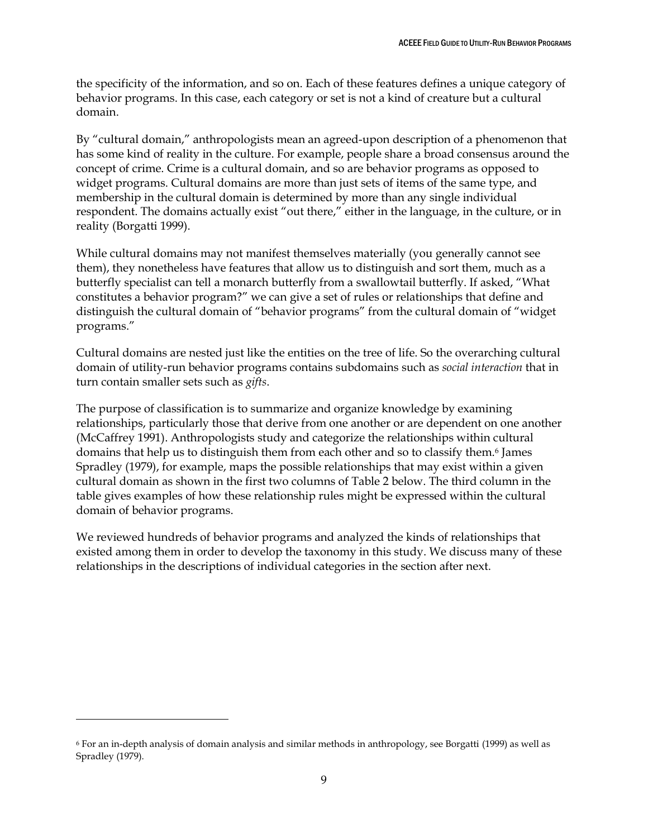the specificity of the information, and so on. Each of these features defines a unique category of behavior programs. In this case, each category or set is not a kind of creature but a cultural domain.

By "cultural domain," anthropologists mean an agreed-upon description of a phenomenon that has some kind of reality in the culture. For example, people share a broad consensus around the concept of crime. Crime is a cultural domain, and so are behavior programs as opposed to widget programs. Cultural domains are more than just sets of items of the same type, and membership in the cultural domain is determined by more than any single individual respondent. The domains actually exist "out there," either in the language, in the culture, or in reality (Borgatti 1999).

While cultural domains may not manifest themselves materially (you generally cannot see them), they nonetheless have features that allow us to distinguish and sort them, much as a butterfly specialist can tell a monarch butterfly from a swallowtail butterfly. If asked, "What constitutes a behavior program?" we can give a set of rules or relationships that define and distinguish the cultural domain of "behavior programs" from the cultural domain of "widget programs."

Cultural domains are nested just like the entities on the tree of life. So the overarching cultural domain of utility-run behavior programs contains subdomains such as *social interaction* that in turn contain smaller sets such as *gifts*.

The purpose of classification is to summarize and organize knowledge by examining relationships, particularly those that derive from one another or are dependent on one another (McCaffrey 1991). Anthropologists study and categorize the relationships within cultural domains that help us to distinguish them from each other and so to classify them.<sup>6</sup> James Spradley (1979), for example, maps the possible relationships that may exist within a given cultural domain as shown in the first two columns of Table 2 below. The third column in the table gives examples of how these relationship rules might be expressed within the cultural domain of behavior programs.

We reviewed hundreds of behavior programs and analyzed the kinds of relationships that existed among them in order to develop the taxonomy in this study. We discuss many of these relationships in the descriptions of individual categories in the section after next.

 $\overline{a}$ 

<sup>6</sup> For an in-depth analysis of domain analysis and similar methods in anthropology, see Borgatti (1999) as well as Spradley (1979).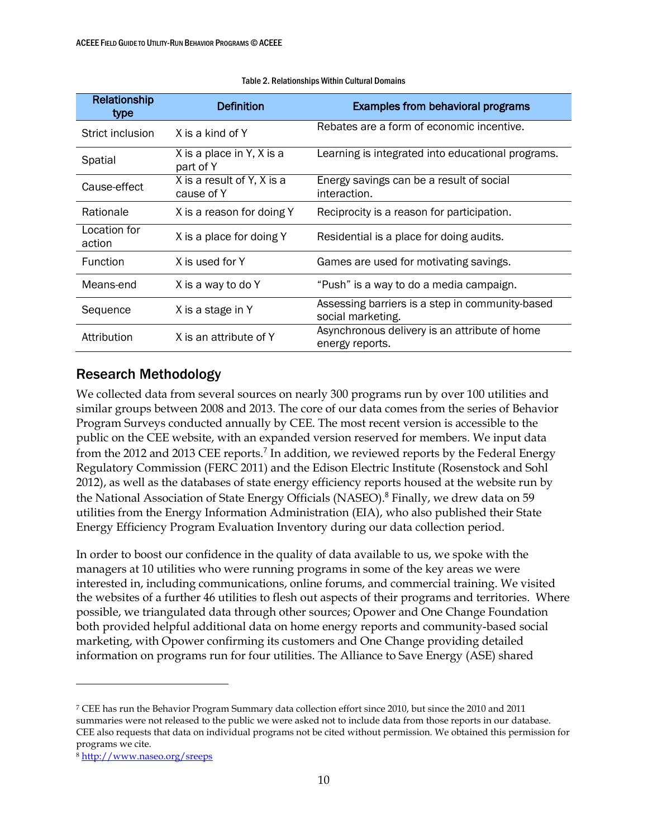| Relationship<br>type   | Definition                                          | <b>Examples from behavioral programs</b>                             |
|------------------------|-----------------------------------------------------|----------------------------------------------------------------------|
| Strict inclusion       | X is a kind of Y                                    | Rebates are a form of economic incentive.                            |
| Spatial                | X is a place in Y, $\overline{X}$ is a<br>part of Y | Learning is integrated into educational programs.                    |
| Cause-effect           | X is a result of Y, X is a<br>cause of Y            | Energy savings can be a result of social<br>interaction.             |
| Rationale              | X is a reason for doing Y                           | Reciprocity is a reason for participation.                           |
| Location for<br>action | X is a place for doing Y                            | Residential is a place for doing audits.                             |
| <b>Function</b>        | X is used for Y                                     | Games are used for motivating savings.                               |
| Means-end              | X is a way to do Y                                  | "Push" is a way to do a media campaign.                              |
| Sequence               | X is a stage in Y                                   | Assessing barriers is a step in community-based<br>social marketing. |
| Attribution            | X is an attribute of Y                              | Asynchronous delivery is an attribute of home<br>energy reports.     |

#### Table 2. Relationships Within Cultural Domains

# <span id="page-16-0"></span>Research Methodology

We collected data from several sources on nearly 300 programs run by over 100 utilities and similar groups between 2008 and 2013. The core of our data comes from the series of Behavior Program Surveys conducted annually by CEE. The most recent version is accessible to the public on the CEE website, with an expanded version reserved for members. We input data from the 2012 and 2013 CEE reports.<sup>7</sup> In addition, we reviewed reports by the Federal Energy Regulatory Commission (FERC 2011) and the Edison Electric Institute (Rosenstock and Sohl 2012), as well as the databases of state energy efficiency reports housed at the website run by the National Association of State Energy Officials (NASEO).<sup>8</sup> Finally, we drew data on 59 utilities from the Energy Information Administration (EIA), who also published their State Energy Efficiency Program Evaluation Inventory during our data collection period.

In order to boost our confidence in the quality of data available to us, we spoke with the managers at 10 utilities who were running programs in some of the key areas we were interested in, including communications, online forums, and commercial training. We visited the websites of a further 46 utilities to flesh out aspects of their programs and territories. Where possible, we triangulated data through other sources; Opower and One Change Foundation both provided helpful additional data on home energy reports and community-based social marketing, with Opower confirming its customers and One Change providing detailed information on programs run for four utilities. The Alliance to Save Energy (ASE) shared

 $\overline{a}$ 

<sup>7</sup> CEE has run the Behavior Program Summary data collection effort since 2010, but since the 2010 and 2011 summaries were not released to the public we were asked not to include data from those reports in our database. CEE also requests that data on individual programs not be cited without permission. We obtained this permission for programs we cite.

<sup>8</sup> <http://www.naseo.org/sreeps>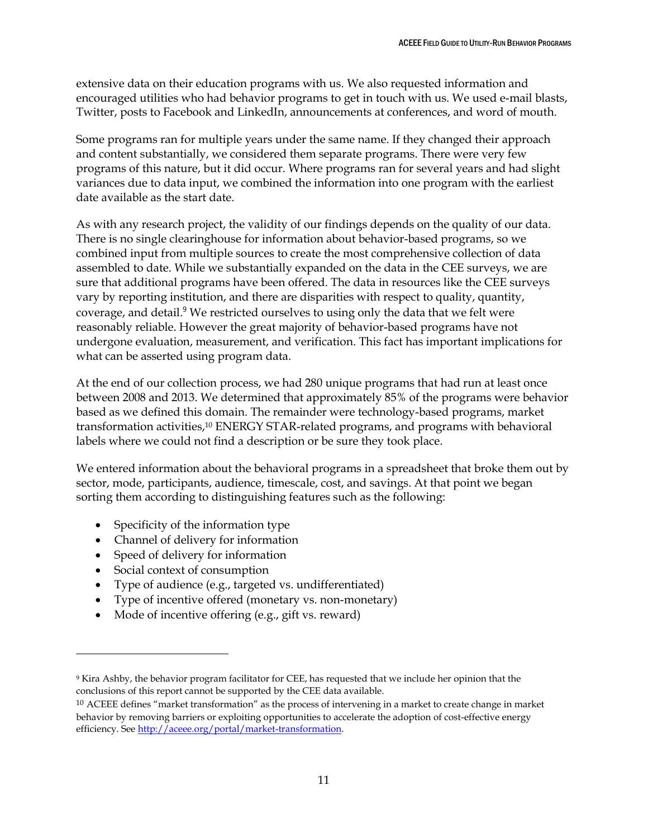extensive data on their education programs with us. We also requested information and encouraged utilities who had behavior programs to get in touch with us. We used e-mail blasts, Twitter, posts to Facebook and LinkedIn, announcements at conferences, and word of mouth.

Some programs ran for multiple years under the same name. If they changed their approach and content substantially, we considered them separate programs. There were very few programs of this nature, but it did occur. Where programs ran for several years and had slight variances due to data input, we combined the information into one program with the earliest date available as the start date.

As with any research project, the validity of our findings depends on the quality of our data. There is no single clearinghouse for information about behavior-based programs, so we combined input from multiple sources to create the most comprehensive collection of data assembled to date. While we substantially expanded on the data in the CEE surveys, we are sure that additional programs have been offered. The data in resources like the CEE surveys vary by reporting institution, and there are disparities with respect to quality, quantity, coverage, and detail. <sup>9</sup> We restricted ourselves to using only the data that we felt were reasonably reliable. However the great majority of behavior-based programs have not undergone evaluation, measurement, and verification. This fact has important implications for what can be asserted using program data.

At the end of our collection process, we had 280 unique programs that had run at least once between 2008 and 2013. We determined that approximately 85% of the programs were behavior based as we defined this domain. The remainder were technology-based programs, market transformation activities, <sup>10</sup> ENERGY STAR-related programs, and programs with behavioral labels where we could not find a description or be sure they took place.

We entered information about the behavioral programs in a spreadsheet that broke them out by sector, mode, participants, audience, timescale, cost, and savings. At that point we began sorting them according to distinguishing features such as the following:

- Specificity of the information type
- Channel of delivery for information
- Speed of delivery for information
- Social context of consumption

 $\ddot{\phantom{a}}$ 

- Type of audience (e.g., targeted vs. undifferentiated)
- Type of incentive offered (monetary vs. non-monetary)
- Mode of incentive offering (e.g., gift vs. reward)

<sup>9</sup> Kira Ashby, the behavior program facilitator for CEE, has requested that we include her opinion that the conclusions of this report cannot be supported by the CEE data available.

<sup>10</sup> ACEEE defines "market transformation" as the process of intervening in a market to create change in market behavior by removing barriers or exploiting opportunities to accelerate the adoption of cost-effective energy efficiency. See [http://aceee.org/portal/market-transformation.](http://aceee.org/portal/market-transformation)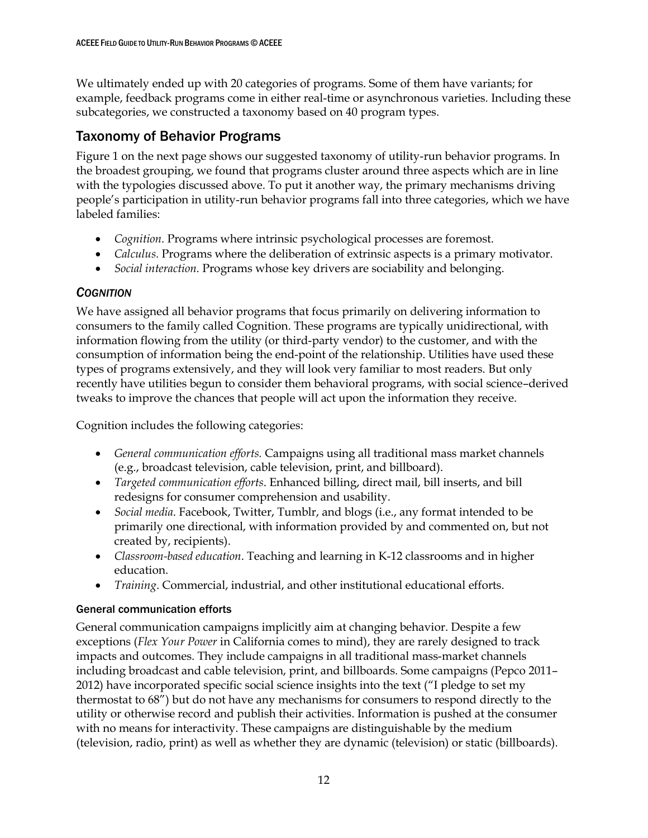We ultimately ended up with 20 categories of programs. Some of them have variants; for example, feedback programs come in either real-time or asynchronous varieties. Including these subcategories, we constructed a taxonomy based on 40 program types.

# <span id="page-18-0"></span>Taxonomy of Behavior Programs

Figure 1 on the next page shows our suggested taxonomy of utility-run behavior programs. In the broadest grouping, we found that programs cluster around three aspects which are in line with the typologies discussed above. To put it another way, the primary mechanisms driving people's participation in utility-run behavior programs fall into three categories, which we have labeled families:

- *Cognition.* Programs where intrinsic psychological processes are foremost.
- *Calculus.* Programs where the deliberation of extrinsic aspects is a primary motivator.
- *Social interaction.* Programs whose key drivers are sociability and belonging.

# <span id="page-18-1"></span>*COGNITION*

We have assigned all behavior programs that focus primarily on delivering information to consumers to the family called Cognition. These programs are typically unidirectional, with information flowing from the utility (or third-party vendor) to the customer, and with the consumption of information being the end-point of the relationship. Utilities have used these types of programs extensively, and they will look very familiar to most readers. But only recently have utilities begun to consider them behavioral programs, with social science–derived tweaks to improve the chances that people will act upon the information they receive.

Cognition includes the following categories:

- *General communication efforts.* Campaigns using all traditional mass market channels (e.g., broadcast television, cable television, print, and billboard).
- *Targeted communication efforts*. Enhanced billing, direct mail, bill inserts, and bill redesigns for consumer comprehension and usability.
- *Social media*. Facebook, Twitter, Tumblr, and blogs (i.e., any format intended to be primarily one directional, with information provided by and commented on, but not created by, recipients).
- *Classroom-based education*. Teaching and learning in K-12 classrooms and in higher education.
- *Training*. Commercial, industrial, and other institutional educational efforts.

# <span id="page-18-2"></span>General communication efforts

General communication campaigns implicitly aim at changing behavior. Despite a few exceptions (*Flex Your Power* in California comes to mind), they are rarely designed to track impacts and outcomes. They include campaigns in all traditional mass-market channels including broadcast and cable television, print, and billboards. Some campaigns (Pepco 2011– 2012) have incorporated specific social science insights into the text ("I pledge to set my thermostat to 68") but do not have any mechanisms for consumers to respond directly to the utility or otherwise record and publish their activities. Information is pushed at the consumer with no means for interactivity. These campaigns are distinguishable by the medium (television, radio, print) as well as whether they are dynamic (television) or static (billboards).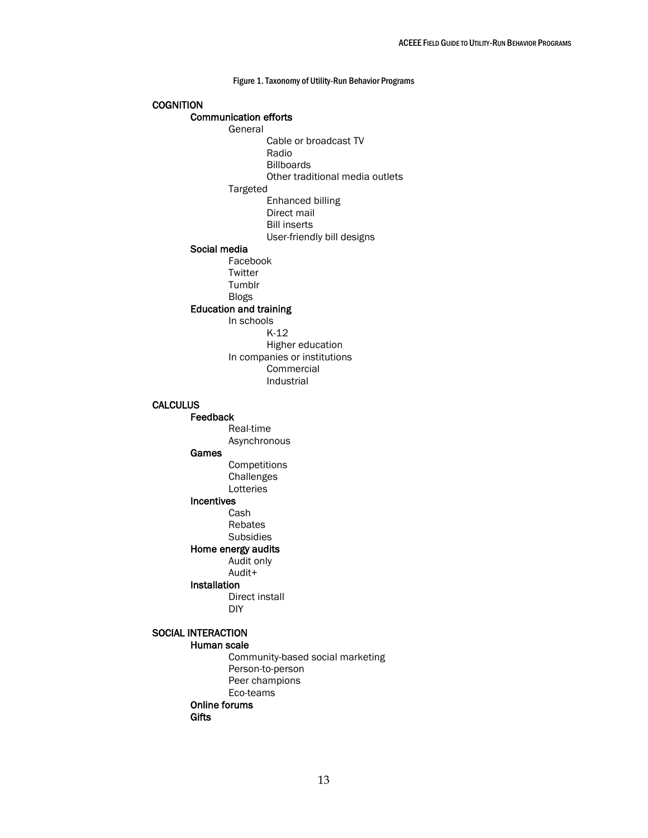Figure 1. Taxonomy of Utility-Run Behavior Programs **COGNITION**  Communication efforts General Cable or broadcast TV Radio Billboards Other traditional media outlets Targeted Enhanced billing Direct mail Bill inserts User-friendly bill designs Social media Facebook **Twitter** Tumblr Blogs Education and training In schools K-12 Higher education In companies or institutions Commercial Industrial **CALCULUS** Feedback Real-time Asynchronous Games **Competitions Challenges Lotteries** Incentives Cash Rebates Subsidies Home energy audits Audit only Audit+ Installation Direct install DIY SOCIAL INTERACTION Human scale

> Community-based social marketing Person-to-person Peer champions Eco-teams Online forums **Gifts**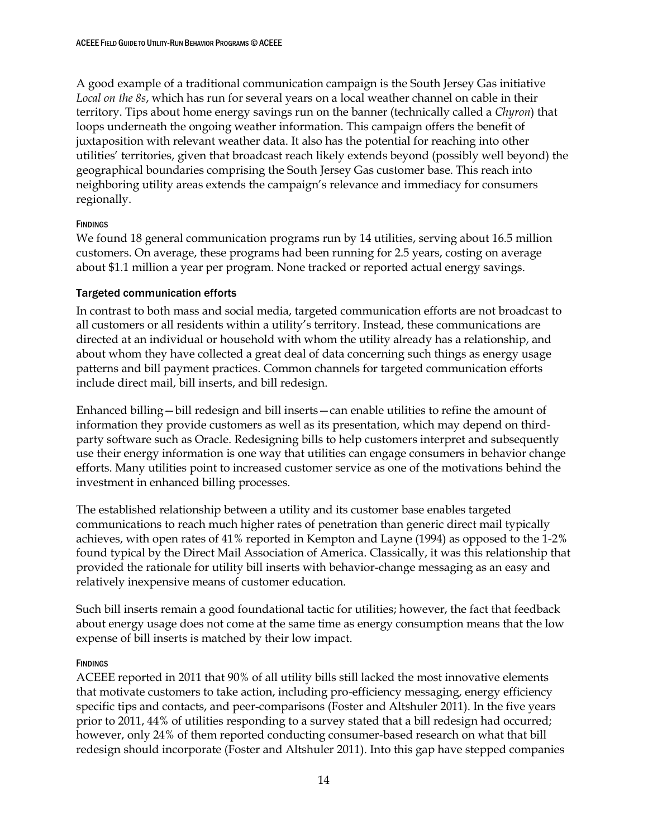A good example of a traditional communication campaign is the South Jersey Gas initiative *Local on the 8s*, which has run for several years on a local weather channel on cable in their territory. Tips about home energy savings run on the banner (technically called a *Chyron*) that loops underneath the ongoing weather information. This campaign offers the benefit of juxtaposition with relevant weather data. It also has the potential for reaching into other utilities' territories, given that broadcast reach likely extends beyond (possibly well beyond) the geographical boundaries comprising the South Jersey Gas customer base. This reach into neighboring utility areas extends the campaign's relevance and immediacy for consumers regionally.

## **FINDINGS**

We found 18 general communication programs run by 14 utilities, serving about 16.5 million customers. On average, these programs had been running for 2.5 years, costing on average about \$1.1 million a year per program. None tracked or reported actual energy savings.

## <span id="page-20-0"></span>Targeted communication efforts

In contrast to both mass and social media, targeted communication efforts are not broadcast to all customers or all residents within a utility's territory. Instead, these communications are directed at an individual or household with whom the utility already has a relationship, and about whom they have collected a great deal of data concerning such things as energy usage patterns and bill payment practices. Common channels for targeted communication efforts include direct mail, bill inserts, and bill redesign.

Enhanced billing—bill redesign and bill inserts—can enable utilities to refine the amount of information they provide customers as well as its presentation, which may depend on thirdparty software such as Oracle. Redesigning bills to help customers interpret and subsequently use their energy information is one way that utilities can engage consumers in behavior change efforts. Many utilities point to increased customer service as one of the motivations behind the investment in enhanced billing processes.

The established relationship between a utility and its customer base enables targeted communications to reach much higher rates of penetration than generic direct mail typically achieves, with open rates of 41% reported in Kempton and Layne (1994) as opposed to the 1-2% found typical by the Direct Mail Association of America. Classically, it was this relationship that provided the rationale for utility bill inserts with behavior-change messaging as an easy and relatively inexpensive means of customer education.

Such bill inserts remain a good foundational tactic for utilities; however, the fact that feedback about energy usage does not come at the same time as energy consumption means that the low expense of bill inserts is matched by their low impact.

## **FINDINGS**

ACEEE reported in 2011 that 90% of all utility bills still lacked the most innovative elements that motivate customers to take action, including pro-efficiency messaging, energy efficiency specific tips and contacts, and peer-comparisons (Foster and Altshuler 2011). In the five years prior to 2011, 44% of utilities responding to a survey stated that a bill redesign had occurred; however, only 24% of them reported conducting consumer-based research on what that bill redesign should incorporate (Foster and Altshuler 2011). Into this gap have stepped companies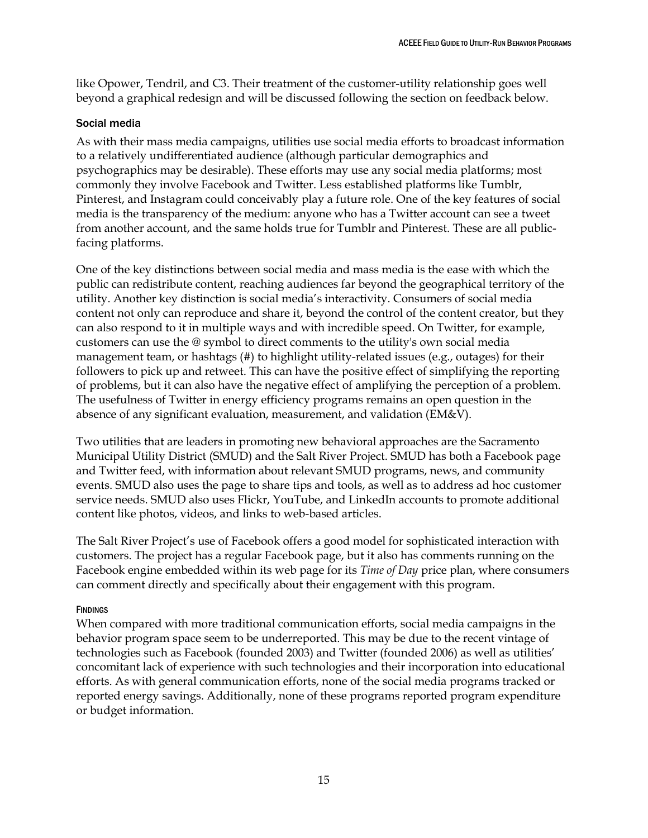like Opower, Tendril, and C3. Their treatment of the customer-utility relationship goes well beyond a graphical redesign and will be discussed following the section on feedback below.

## <span id="page-21-0"></span>Social media

As with their mass media campaigns, utilities use social media efforts to broadcast information to a relatively undifferentiated audience (although particular demographics and psychographics may be desirable). These efforts may use any social media platforms; most commonly they involve Facebook and Twitter. Less established platforms like Tumblr, Pinterest, and Instagram could conceivably play a future role. One of the key features of social media is the transparency of the medium: anyone who has a Twitter account can see a tweet from another account, and the same holds true for Tumblr and Pinterest. These are all publicfacing platforms.

One of the key distinctions between social media and mass media is the ease with which the public can redistribute content, reaching audiences far beyond the geographical territory of the utility. Another key distinction is social media's interactivity. Consumers of social media content not only can reproduce and share it, beyond the control of the content creator, but they can also respond to it in multiple ways and with incredible speed. On Twitter, for example, customers can use the @ symbol to direct comments to the utility's own social media management team, or hashtags (#) to highlight utility-related issues (e.g., outages) for their followers to pick up and retweet. This can have the positive effect of simplifying the reporting of problems, but it can also have the negative effect of amplifying the perception of a problem. The usefulness of Twitter in energy efficiency programs remains an open question in the absence of any significant evaluation, measurement, and validation (EM&V).

Two utilities that are leaders in promoting new behavioral approaches are the Sacramento Municipal Utility District (SMUD) and the Salt River Project. SMUD has both a Facebook page and Twitter feed, with information about relevant SMUD programs, news, and community events. SMUD also uses the page to share tips and tools, as well as to address ad hoc customer service needs. SMUD also uses Flickr, YouTube, and LinkedIn accounts to promote additional content like photos, videos, and links to web-based articles.

The Salt River Project's use of Facebook offers a good model for sophisticated interaction with customers. The project has a regular Facebook page, but it also has comments running on the Facebook engine embedded within its web page for its *Time of Day* price plan, where consumers can comment directly and specifically about their engagement with this program.

## **FINDINGS**

When compared with more traditional communication efforts, social media campaigns in the behavior program space seem to be underreported. This may be due to the recent vintage of technologies such as Facebook (founded 2003) and Twitter (founded 2006) as well as utilities' concomitant lack of experience with such technologies and their incorporation into educational efforts. As with general communication efforts, none of the social media programs tracked or reported energy savings. Additionally, none of these programs reported program expenditure or budget information.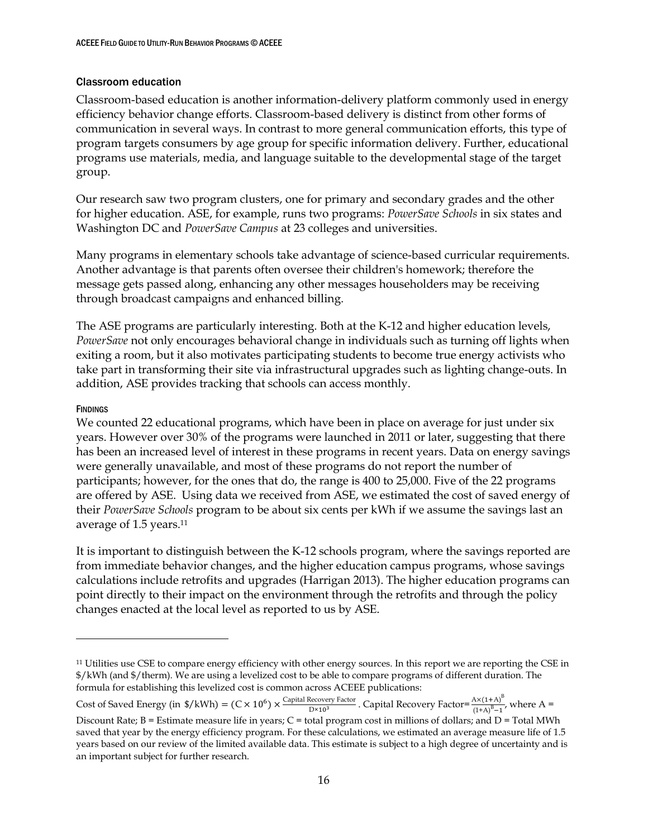## <span id="page-22-0"></span>Classroom education

Classroom-based education is another information-delivery platform commonly used in energy efficiency behavior change efforts. Classroom-based delivery is distinct from other forms of communication in several ways. In contrast to more general communication efforts, this type of program targets consumers by age group for specific information delivery. Further, educational programs use materials, media, and language suitable to the developmental stage of the target group.

Our research saw two program clusters, one for primary and secondary grades and the other for higher education. ASE, for example, runs two programs: *PowerSave Schools* in six states and Washington DC and *PowerSave Campus* at 23 colleges and universities.

Many programs in elementary schools take advantage of science-based curricular requirements. Another advantage is that parents often oversee their children's homework; therefore the message gets passed along, enhancing any other messages householders may be receiving through broadcast campaigns and enhanced billing.

The ASE programs are particularly interesting. Both at the K-12 and higher education levels, *PowerSave* not only encourages behavioral change in individuals such as turning off lights when exiting a room, but it also motivates participating students to become true energy activists who take part in transforming their site via infrastructural upgrades such as lighting change-outs. In addition, ASE provides tracking that schools can access monthly.

### **FINDINGS**

 $\ddot{\phantom{a}}$ 

We counted 22 educational programs, which have been in place on average for just under six years. However over 30% of the programs were launched in 2011 or later, suggesting that there has been an increased level of interest in these programs in recent years. Data on energy savings were generally unavailable, and most of these programs do not report the number of participants; however, for the ones that do, the range is 400 to 25,000. Five of the 22 programs are offered by ASE. Using data we received from ASE, we estimated the cost of saved energy of their *PowerSave Schools* program to be about six cents per kWh if we assume the savings last an average of 1.5 years. 11

It is important to distinguish between the K-12 schools program, where the savings reported are from immediate behavior changes, and the higher education campus programs, whose savings calculations include retrofits and upgrades (Harrigan 2013). The higher education programs can point directly to their impact on the environment through the retrofits and through the policy changes enacted at the local level as reported to us by ASE.

Cost of Saved Energy (in  $\frac{\sqrt{2}}{N}$  (C  $\times$  10<sup>6</sup>)  $\times \frac{\text{Capital Recovery Factor}}{\text{Beta}^3}$  $\frac{\text{Recovery Factor}}{\text{D} \times 10^3}$ . Capital Recovery Factor= $\frac{\text{A} \times (1+A)^B}{(1+A)^B-1}$ , where A =

<sup>&</sup>lt;sup>11</sup> Utilities use CSE to compare energy efficiency with other energy sources. In this report we are reporting the CSE in \$/kWh (and \$/therm). We are using a levelized cost to be able to compare programs of different duration. The formula for establishing this levelized cost is common across ACEEE publications:

Discount Rate;  $B =$  Estimate measure life in years;  $C =$  total program cost in millions of dollars; and  $D =$  Total MWh saved that year by the energy efficiency program. For these calculations, we estimated an average measure life of 1.5 years based on our review of the limited available data. This estimate is subject to a high degree of uncertainty and is an important subject for further research.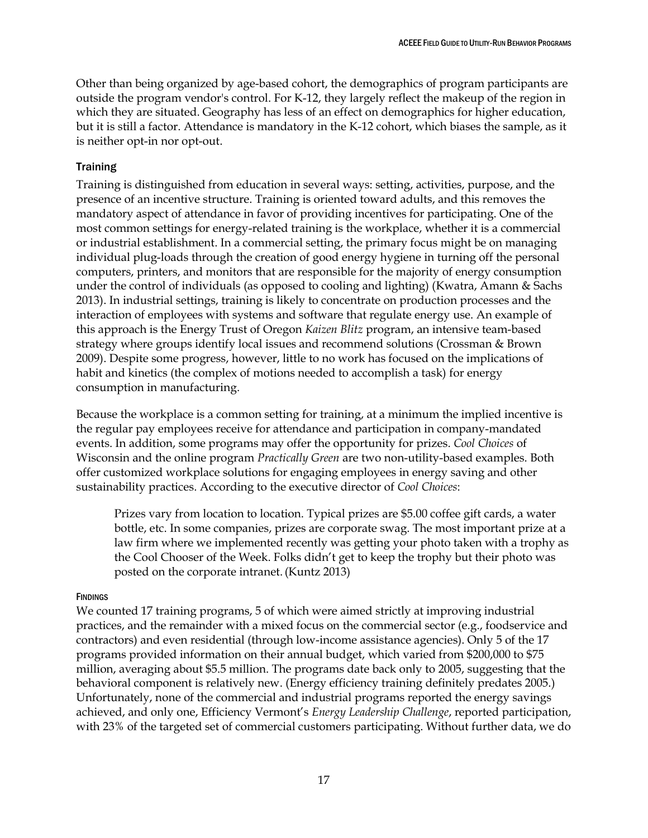Other than being organized by age-based cohort, the demographics of program participants are outside the program vendor's control. For K-12, they largely reflect the makeup of the region in which they are situated. Geography has less of an effect on demographics for higher education, but it is still a factor. Attendance is mandatory in the K-12 cohort, which biases the sample, as it is neither opt-in nor opt-out.

### <span id="page-23-0"></span>**Training**

Training is distinguished from education in several ways: setting, activities, purpose, and the presence of an incentive structure. Training is oriented toward adults, and this removes the mandatory aspect of attendance in favor of providing incentives for participating. One of the most common settings for energy-related training is the workplace, whether it is a commercial or industrial establishment. In a commercial setting, the primary focus might be on managing individual plug-loads through the creation of good energy hygiene in turning off the personal computers, printers, and monitors that are responsible for the majority of energy consumption under the control of individuals (as opposed to cooling and lighting) (Kwatra, Amann & Sachs 2013). In industrial settings, training is likely to concentrate on production processes and the interaction of employees with systems and software that regulate energy use. An example of this approach is the Energy Trust of Oregon *Kaizen Blitz* program, an intensive team-based strategy where groups identify local issues and recommend solutions (Crossman & Brown 2009). Despite some progress, however, little to no work has focused on the implications of habit and kinetics (the complex of motions needed to accomplish a task) for energy consumption in manufacturing.

Because the workplace is a common setting for training, at a minimum the implied incentive is the regular pay employees receive for attendance and participation in company-mandated events. In addition, some programs may offer the opportunity for prizes. *Cool Choices* of Wisconsin and the online program *Practically Green* are two non-utility-based examples. Both offer customized workplace solutions for engaging employees in energy saving and other sustainability practices. According to the executive director of *Cool Choices*:

Prizes vary from location to location. Typical prizes are \$5.00 coffee gift cards, a water bottle, etc. In some companies, prizes are corporate swag. The most important prize at a law firm where we implemented recently was getting your photo taken with a trophy as the Cool Chooser of the Week. Folks didn't get to keep the trophy but their photo was posted on the corporate intranet.(Kuntz 2013)

#### **FINDINGS**

We counted 17 training programs, 5 of which were aimed strictly at improving industrial practices, and the remainder with a mixed focus on the commercial sector (e.g., foodservice and contractors) and even residential (through low-income assistance agencies). Only 5 of the 17 programs provided information on their annual budget, which varied from \$200,000 to \$75 million, averaging about \$5.5 million. The programs date back only to 2005, suggesting that the behavioral component is relatively new. (Energy efficiency training definitely predates 2005.) Unfortunately, none of the commercial and industrial programs reported the energy savings achieved, and only one, Efficiency Vermont's *Energy Leadership Challenge*, reported participation, with 23% of the targeted set of commercial customers participating. Without further data, we do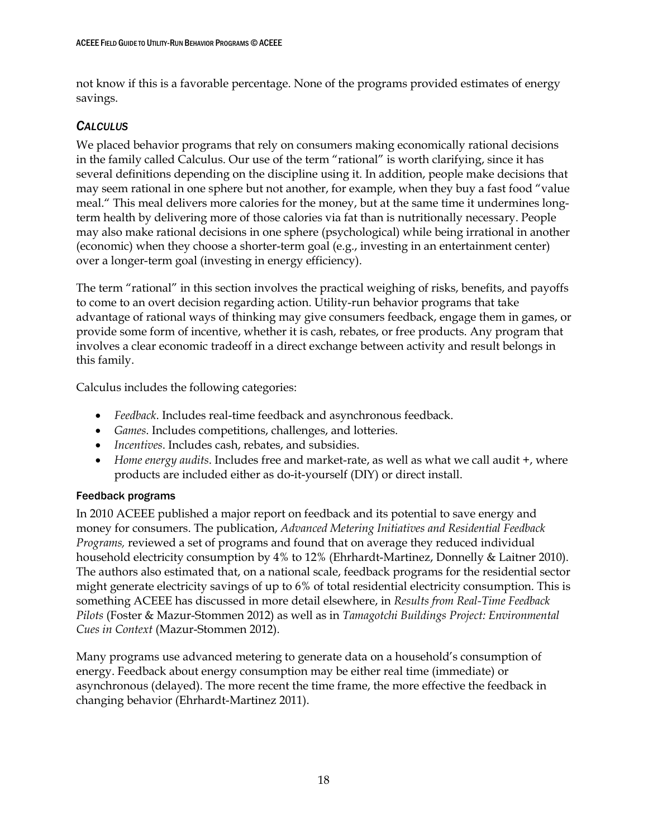not know if this is a favorable percentage. None of the programs provided estimates of energy savings.

## <span id="page-24-0"></span>*CALCULUS*

We placed behavior programs that rely on consumers making economically rational decisions in the family called Calculus. Our use of the term "rational" is worth clarifying, since it has several definitions depending on the discipline using it. In addition, people make decisions that may seem rational in one sphere but not another, for example, when they buy a fast food "value meal." This meal delivers more calories for the money, but at the same time it undermines longterm health by delivering more of those calories via fat than is nutritionally necessary. People may also make rational decisions in one sphere (psychological) while being irrational in another (economic) when they choose a shorter-term goal (e.g., investing in an entertainment center) over a longer-term goal (investing in energy efficiency).

The term "rational" in this section involves the practical weighing of risks, benefits, and payoffs to come to an overt decision regarding action. Utility-run behavior programs that take advantage of rational ways of thinking may give consumers feedback, engage them in games, or provide some form of incentive, whether it is cash, rebates, or free products. Any program that involves a clear economic tradeoff in a direct exchange between activity and result belongs in this family.

Calculus includes the following categories:

- *Feedback*. Includes real-time feedback and asynchronous feedback.
- *Games*. Includes competitions, challenges, and lotteries.
- *Incentives*. Includes cash, rebates, and subsidies.
- *Home energy audits*. Includes free and market-rate, as well as what we call audit +, where products are included either as do-it-yourself (DIY) or direct install.

## <span id="page-24-1"></span>Feedback programs

In 2010 ACEEE published a major report on feedback and its potential to save energy and money for consumers. The publication, *Advanced Metering Initiatives and Residential Feedback Programs,* reviewed a set of programs and found that on average they reduced individual household electricity consumption by 4% to 12% (Ehrhardt-Martinez, Donnelly & Laitner 2010). The authors also estimated that, on a national scale, feedback programs for the residential sector might generate electricity savings of up to 6% of total residential electricity consumption. This is something ACEEE has discussed in more detail elsewhere, in *Results from Real-Time Feedback Pilots* (Foster & Mazur-Stommen 2012) as well as in *Tamagotchi Buildings Project: Environmental Cues in Context* (Mazur-Stommen 2012).

Many programs use advanced metering to generate data on a household's consumption of energy. Feedback about energy consumption may be either real time (immediate) or asynchronous (delayed). The more recent the time frame, the more effective the feedback in changing behavior (Ehrhardt-Martinez 2011).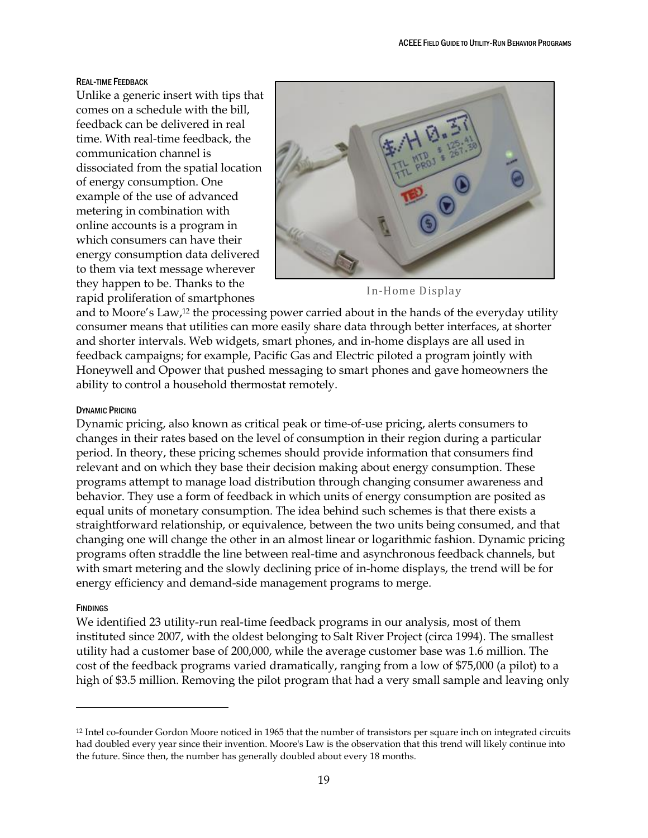#### REAL-TIME FEEDBACK

Unlike a generic insert with tips that comes on a schedule with the bill, feedback can be delivered in real time. With real-time feedback, the communication channel is dissociated from the spatial location of energy consumption. One example of the use of advanced metering in combination with online accounts is a program in which consumers can have their energy consumption data delivered to them via text message wherever they happen to be. Thanks to the rapid proliferation of smartphones



In-Home Display

and to Moore's Law, <sup>12</sup> the processing power carried about in the hands of the everyday utility consumer means that utilities can more easily share data through better interfaces, at shorter and shorter intervals. Web widgets, smart phones, and in-home displays are all used in feedback campaigns; for example, Pacific Gas and Electric piloted a program jointly with Honeywell and Opower that pushed messaging to smart phones and gave homeowners the ability to control a household thermostat remotely.

#### DYNAMIC PRICING

Dynamic pricing, also known as critical peak or time-of-use pricing, alerts consumers to changes in their rates based on the level of consumption in their region during a particular period. In theory, these pricing schemes should provide information that consumers find relevant and on which they base their decision making about energy consumption. These programs attempt to manage load distribution through changing consumer awareness and behavior. They use a form of feedback in which units of energy consumption are posited as equal units of monetary consumption. The idea behind such schemes is that there exists a straightforward relationship, or equivalence, between the two units being consumed, and that changing one will change the other in an almost linear or logarithmic fashion. Dynamic pricing programs often straddle the line between real-time and asynchronous feedback channels, but with smart metering and the slowly declining price of in-home displays, the trend will be for energy efficiency and demand-side management programs to merge.

#### **FINDINGS**

 $\overline{a}$ 

We identified 23 utility-run real-time feedback programs in our analysis, most of them instituted since 2007, with the oldest belonging to Salt River Project (circa 1994). The smallest utility had a customer base of 200,000, while the average customer base was 1.6 million. The cost of the feedback programs varied dramatically, ranging from a low of \$75,000 (a pilot) to a high of \$3.5 million. Removing the pilot program that had a very small sample and leaving only

<sup>&</sup>lt;sup>12</sup> Intel co-founder Gordon Moore noticed in 1965 that the number of transistors per square inch on integrated circuits had doubled every year since their invention. Moore's Law is the observation that this trend will likely continue into the future. Since then, the number has generally doubled about every 18 months.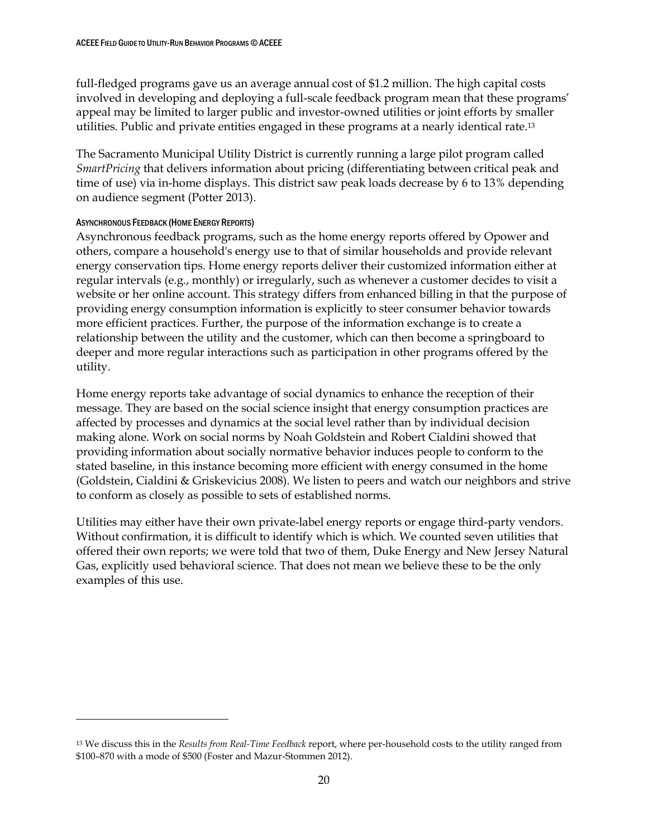full-fledged programs gave us an average annual cost of \$1.2 million. The high capital costs involved in developing and deploying a full-scale feedback program mean that these programs' appeal may be limited to larger public and investor-owned utilities or joint efforts by smaller utilities. Public and private entities engaged in these programs at a nearly identical rate.<sup>13</sup>

The Sacramento Municipal Utility District is currently running a large pilot program called *SmartPricing* that delivers information about pricing (differentiating between critical peak and time of use) via in-home displays. This district saw peak loads decrease by 6 to 13% depending on audience segment (Potter 2013).

## ASYNCHRONOUS FEEDBACK (HOME ENERGY REPORTS)

 $\overline{a}$ 

Asynchronous feedback programs, such as the home energy reports offered by Opower and others, compare a household's energy use to that of similar households and provide relevant energy conservation tips. Home energy reports deliver their customized information either at regular intervals (e.g., monthly) or irregularly, such as whenever a customer decides to visit a website or her online account. This strategy differs from enhanced billing in that the purpose of providing energy consumption information is explicitly to steer consumer behavior towards more efficient practices. Further, the purpose of the information exchange is to create a relationship between the utility and the customer, which can then become a springboard to deeper and more regular interactions such as participation in other programs offered by the utility.

Home energy reports take advantage of social dynamics to enhance the reception of their message. They are based on the social science insight that energy consumption practices are affected by processes and dynamics at the social level rather than by individual decision making alone. Work on social norms by Noah Goldstein and Robert Cialdini showed that providing information about socially normative behavior induces people to conform to the stated baseline, in this instance becoming more efficient with energy consumed in the home (Goldstein, Cialdini & Griskevicius 2008). We listen to peers and watch our neighbors and strive to conform as closely as possible to sets of established norms.

Utilities may either have their own private-label energy reports or engage third-party vendors. Without confirmation, it is difficult to identify which is which. We counted seven utilities that offered their own reports; we were told that two of them, Duke Energy and New Jersey Natural Gas, explicitly used behavioral science. That does not mean we believe these to be the only examples of this use.

<sup>13</sup> We discuss this in the *Results from Real-Time Feedback* report, where per-household costs to the utility ranged from \$100–870 with a mode of \$500 (Foster and Mazur-Stommen 2012).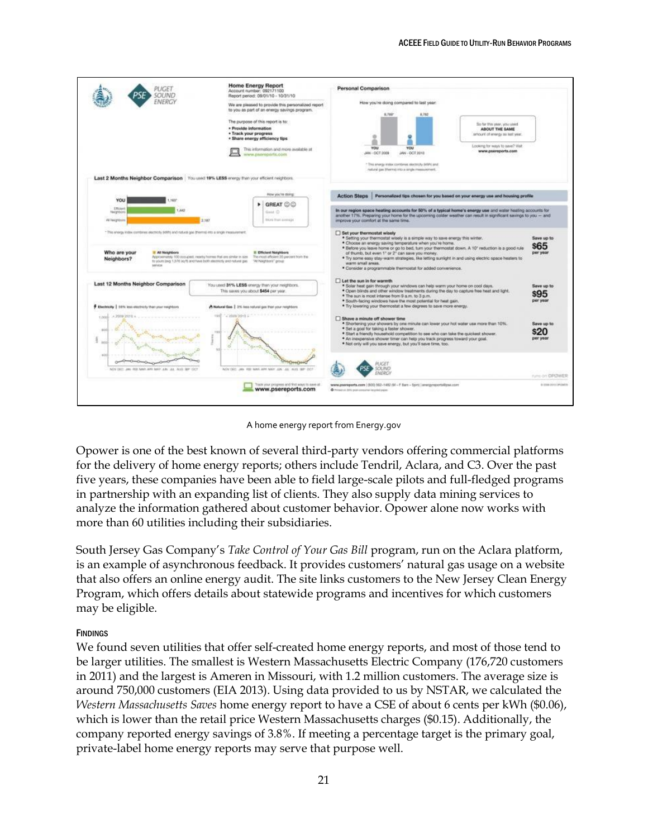#### ACEEE FIELD GUIDE TO UTILITY-RUN BEHAVIOR PROGRAMS



A home energy report from Energy.gov

Opower is one of the best known of several third-party vendors offering commercial platforms for the delivery of home energy reports; others include Tendril, Aclara, and C3. Over the past five years, these companies have been able to field large-scale pilots and full-fledged programs in partnership with an expanding list of clients. They also supply data mining services to analyze the information gathered about customer behavior. Opower alone now works with more than 60 utilities including their subsidiaries.

South Jersey Gas Company's *Take Control of Your Gas Bill* program, run on the Aclara platform, is an example of asynchronous feedback. It provides customers' natural gas usage on a website that also offers an online energy audit. The site links customers to the New Jersey Clean Energy Program, which offers details about statewide programs and incentives for which customers may be eligible.

## **FINDINGS**

We found seven utilities that offer self-created home energy reports, and most of those tend to be larger utilities. The smallest is Western Massachusetts Electric Company (176,720 customers in 2011) and the largest is Ameren in Missouri, with 1.2 million customers. The average size is around 750,000 customers (EIA 2013). Using data provided to us by NSTAR, we calculated the *Western Massachusetts Saves* home energy report to have a CSE of about 6 cents per kWh (\$0.06), which is lower than the retail price Western Massachusetts charges (\$0.15). Additionally, the company reported energy savings of 3.8%. If meeting a percentage target is the primary goal, private-label home energy reports may serve that purpose well.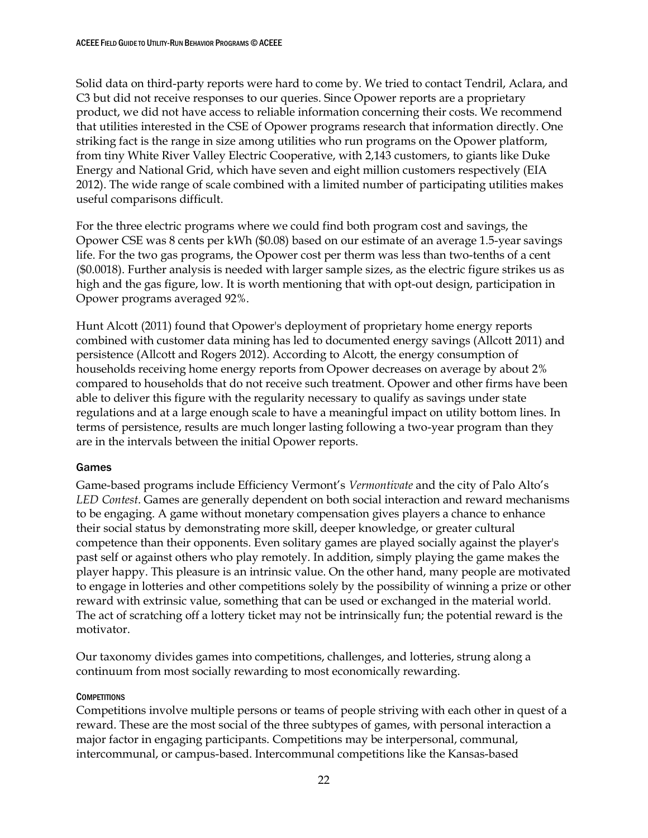Solid data on third-party reports were hard to come by. We tried to contact Tendril, Aclara, and C3 but did not receive responses to our queries. Since Opower reports are a proprietary product, we did not have access to reliable information concerning their costs. We recommend that utilities interested in the CSE of Opower programs research that information directly. One striking fact is the range in size among utilities who run programs on the Opower platform, from tiny White River Valley Electric Cooperative, with 2,143 customers, to giants like Duke Energy and National Grid, which have seven and eight million customers respectively (EIA 2012). The wide range of scale combined with a limited number of participating utilities makes useful comparisons difficult.

For the three electric programs where we could find both program cost and savings, the Opower CSE was 8 cents per kWh (\$0.08) based on our estimate of an average 1.5-year savings life. For the two gas programs, the Opower cost per therm was less than two-tenths of a cent (\$0.0018). Further analysis is needed with larger sample sizes, as the electric figure strikes us as high and the gas figure, low. It is worth mentioning that with opt-out design, participation in Opower programs averaged 92%.

Hunt Alcott (2011) found that Opower's deployment of proprietary home energy reports combined with customer data mining has led to documented energy savings (Allcott 2011) and persistence (Allcott and Rogers 2012). According to Alcott, the energy consumption of households receiving home energy reports from Opower decreases on average by about 2% compared to households that do not receive such treatment. Opower and other firms have been able to deliver this figure with the regularity necessary to qualify as savings under state regulations and at a large enough scale to have a meaningful impact on utility bottom lines. In terms of persistence, results are much longer lasting following a two-year program than they are in the intervals between the initial Opower reports.

## <span id="page-28-0"></span>Games

Game-based programs include Efficiency Vermont's *Vermontivate* and the city of Palo Alto's *LED Contest*. Games are generally dependent on both social interaction and reward mechanisms to be engaging. A game without monetary compensation gives players a chance to enhance their social status by demonstrating more skill, deeper knowledge, or greater cultural competence than their opponents. Even solitary games are played socially against the player's past self or against others who play remotely. In addition, simply playing the game makes the player happy. This pleasure is an intrinsic value. On the other hand, many people are motivated to engage in lotteries and other competitions solely by the possibility of winning a prize or other reward with extrinsic value, something that can be used or exchanged in the material world. The act of scratching off a lottery ticket may not be intrinsically fun; the potential reward is the motivator.

Our taxonomy divides games into competitions, challenges, and lotteries, strung along a continuum from most socially rewarding to most economically rewarding.

## **COMPETITIONS**

Competitions involve multiple persons or teams of people striving with each other in quest of a reward. These are the most social of the three subtypes of games, with personal interaction a major factor in engaging participants. Competitions may be interpersonal, communal, intercommunal, or campus-based. Intercommunal competitions like the Kansas-based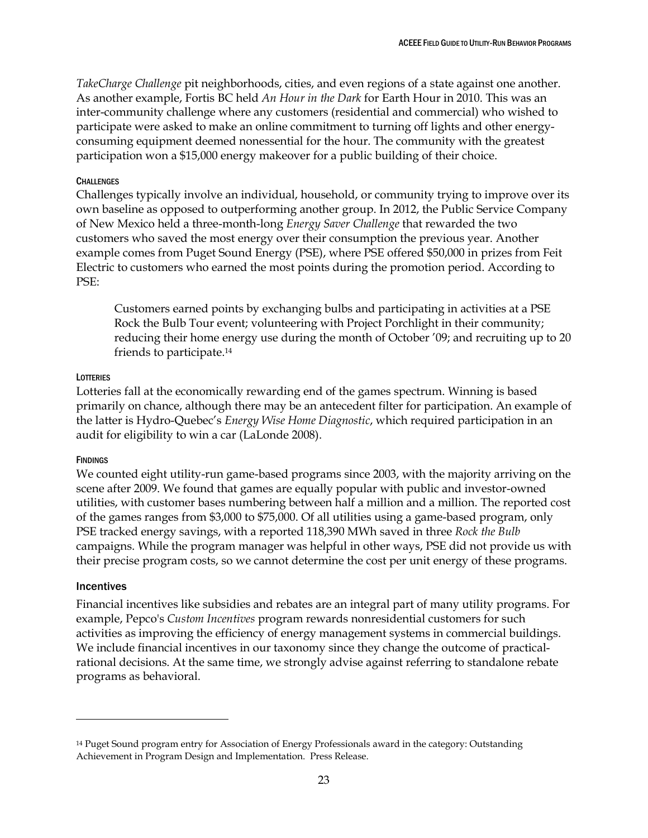*TakeCharge Challenge* pit neighborhoods, cities, and even regions of a state against one another. As another example, Fortis BC held *An Hour in the Dark* for Earth Hour in 2010. This was an inter-community challenge where any customers (residential and commercial) who wished to participate were asked to make an online commitment to turning off lights and other energyconsuming equipment deemed nonessential for the hour. The community with the greatest participation won a \$15,000 energy makeover for a public building of their choice.

#### **CHALLENGES**

Challenges typically involve an individual, household, or community trying to improve over its own baseline as opposed to outperforming another group. In 2012, the Public Service Company of New Mexico held a three-month-long *Energy Saver Challenge* that rewarded the two customers who saved the most energy over their consumption the previous year. Another example comes from Puget Sound Energy (PSE), where PSE offered \$50,000 in prizes from Feit Electric to customers who earned the most points during the promotion period. According to PSE:

Customers earned points by exchanging bulbs and participating in activities at a PSE Rock the Bulb Tour event; volunteering with Project Porchlight in their community; reducing their home energy use during the month of October '09; and recruiting up to 20 friends to participate.<sup>14</sup>

#### **LOTTERIES**

Lotteries fall at the economically rewarding end of the games spectrum. Winning is based primarily on chance, although there may be an antecedent filter for participation. An example of the latter is Hydro-Quebec's *Energy Wise Home Diagnostic*, which required participation in an audit for eligibility to win a car (LaLonde 2008).

#### **FINDINGS**

We counted eight utility-run game-based programs since 2003, with the majority arriving on the scene after 2009. We found that games are equally popular with public and investor-owned utilities, with customer bases numbering between half a million and a million. The reported cost of the games ranges from \$3,000 to \$75,000. Of all utilities using a game-based program, only PSE tracked energy savings, with a reported 118,390 MWh saved in three *Rock the Bulb* campaigns. While the program manager was helpful in other ways, PSE did not provide us with their precise program costs, so we cannot determine the cost per unit energy of these programs.

#### <span id="page-29-0"></span>**Incentives**

 $\overline{a}$ 

Financial incentives like subsidies and rebates are an integral part of many utility programs. For example, Pepco's *Custom Incentives* program rewards nonresidential customers for such activities as improving the efficiency of energy management systems in commercial buildings. We include financial incentives in our taxonomy since they change the outcome of practicalrational decisions. At the same time, we strongly advise against referring to standalone rebate programs as behavioral.

<sup>14</sup> Puget Sound program entry for Association of Energy Professionals award in the category: Outstanding Achievement in Program Design and Implementation. Press Release.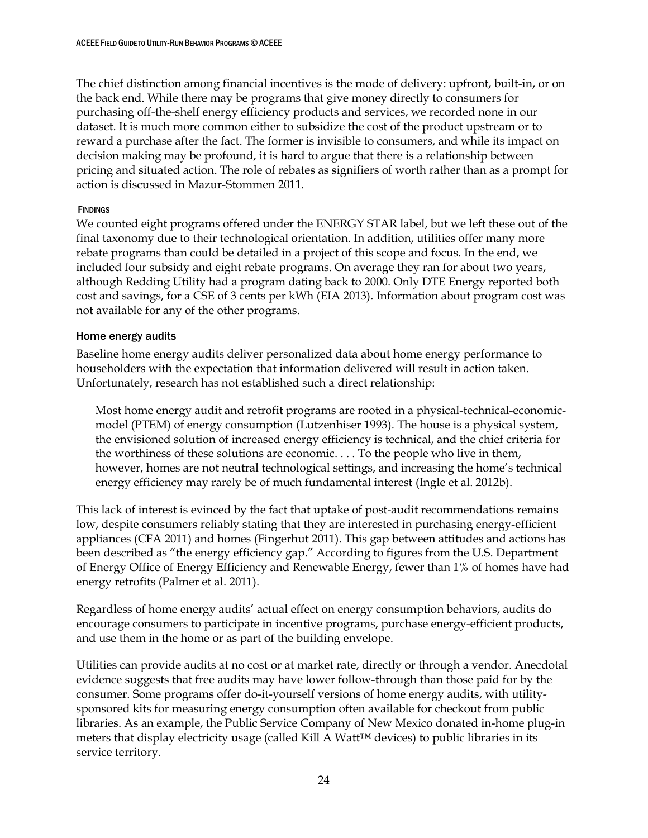The chief distinction among financial incentives is the mode of delivery: upfront, built-in, or on the back end. While there may be programs that give money directly to consumers for purchasing off-the-shelf energy efficiency products and services, we recorded none in our dataset. It is much more common either to subsidize the cost of the product upstream or to reward a purchase after the fact. The former is invisible to consumers, and while its impact on decision making may be profound, it is hard to argue that there is a relationship between pricing and situated action. The role of rebates as signifiers of worth rather than as a prompt for action is discussed in Mazur-Stommen 2011.

## **FINDINGS**

We counted eight programs offered under the ENERGY STAR label, but we left these out of the final taxonomy due to their technological orientation. In addition, utilities offer many more rebate programs than could be detailed in a project of this scope and focus. In the end, we included four subsidy and eight rebate programs. On average they ran for about two years, although Redding Utility had a program dating back to 2000. Only DTE Energy reported both cost and savings, for a CSE of 3 cents per kWh (EIA 2013). Information about program cost was not available for any of the other programs.

## <span id="page-30-0"></span>Home energy audits

Baseline home energy audits deliver personalized data about home energy performance to householders with the expectation that information delivered will result in action taken. Unfortunately, research has not established such a direct relationship:

Most home energy audit and retrofit programs are rooted in a physical-technical-economicmodel (PTEM) of energy consumption (Lutzenhiser 1993). The house is a physical system, the envisioned solution of increased energy efficiency is technical, and the chief criteria for the worthiness of these solutions are economic. . . . To the people who live in them, however, homes are not neutral technological settings, and increasing the home's technical energy efficiency may rarely be of much fundamental interest (Ingle et al. 2012b).

This lack of interest is evinced by the fact that uptake of post-audit recommendations remains low, despite consumers reliably stating that they are interested in purchasing energy-efficient appliances (CFA 2011) and homes (Fingerhut 2011). This gap between attitudes and actions has been described as "the energy efficiency gap." According to figures from the U.S. Department of Energy Office of Energy Efficiency and Renewable Energy, fewer than 1% of homes have had energy retrofits (Palmer et al. 2011).

Regardless of home energy audits' actual effect on energy consumption behaviors, audits do encourage consumers to participate in incentive programs, purchase energy-efficient products, and use them in the home or as part of the building envelope.

Utilities can provide audits at no cost or at market rate, directly or through a vendor. Anecdotal evidence suggests that free audits may have lower follow-through than those paid for by the consumer. Some programs offer do-it-yourself versions of home energy audits, with utilitysponsored kits for measuring energy consumption often available for checkout from public libraries. As an example, the Public Service Company of New Mexico donated in-home plug-in meters that display electricity usage (called Kill A Watt™ devices) to public libraries in its service territory.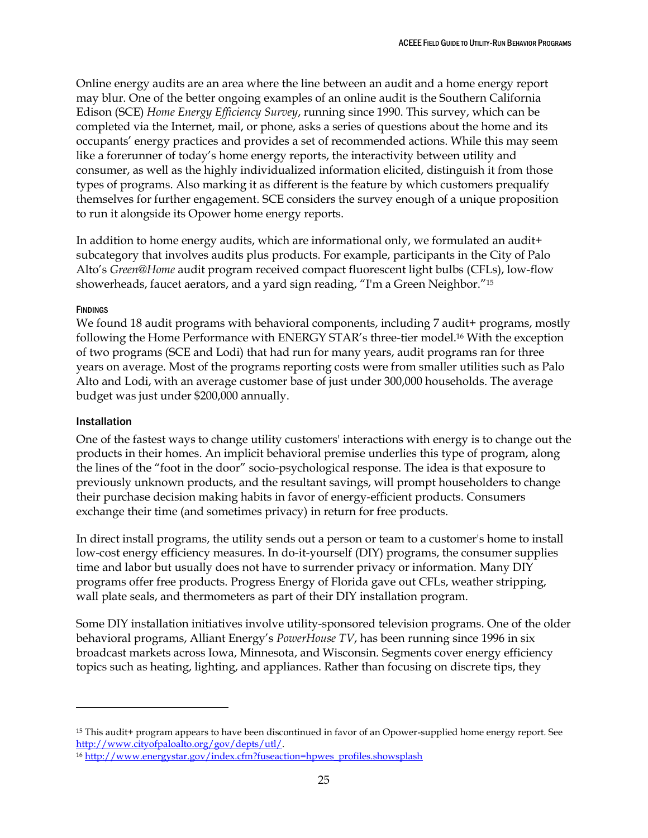Online energy audits are an area where the line between an audit and a home energy report may blur. One of the better ongoing examples of an online audit is the Southern California Edison (SCE) *Home Energy Efficiency Survey*, running since 1990. This survey, which can be completed via the Internet, mail, or phone, asks a series of questions about the home and its occupants' energy practices and provides a set of recommended actions. While this may seem like a forerunner of today's home energy reports, the interactivity between utility and consumer, as well as the highly individualized information elicited, distinguish it from those types of programs. Also marking it as different is the feature by which customers prequalify themselves for further engagement. SCE considers the survey enough of a unique proposition to run it alongside its Opower home energy reports.

In addition to home energy audits, which are informational only, we formulated an audit+ subcategory that involves audits plus products. For example, participants in the City of Palo Alto's *Green@Home* audit program received compact fluorescent light bulbs (CFLs), low-flow showerheads, faucet aerators, and a yard sign reading, "I'm a Green Neighbor."<sup>15</sup>

## **FINDINGS**

We found 18 audit programs with behavioral components, including 7 audit + programs, mostly following the Home Performance with ENERGY STAR's three-tier model.<sup>16</sup> With the exception of two programs (SCE and Lodi) that had run for many years, audit programs ran for three years on average. Most of the programs reporting costs were from smaller utilities such as Palo Alto and Lodi, with an average customer base of just under 300,000 households. The average budget was just under \$200,000 annually.

## <span id="page-31-0"></span>Installation

 $\overline{a}$ 

One of the fastest ways to change utility customers' interactions with energy is to change out the products in their homes. An implicit behavioral premise underlies this type of program, along the lines of the "foot in the door" socio-psychological response. The idea is that exposure to previously unknown products, and the resultant savings, will prompt householders to change their purchase decision making habits in favor of energy-efficient products. Consumers exchange their time (and sometimes privacy) in return for free products.

In direct install programs, the utility sends out a person or team to a customer's home to install low-cost energy efficiency measures. In do-it-yourself (DIY) programs, the consumer supplies time and labor but usually does not have to surrender privacy or information. Many DIY programs offer free products. Progress Energy of Florida gave out CFLs, weather stripping, wall plate seals, and thermometers as part of their DIY installation program.

Some DIY installation initiatives involve utility-sponsored television programs. One of the older behavioral programs, Alliant Energy's *PowerHouse TV*, has been running since 1996 in six broadcast markets across Iowa, Minnesota, and Wisconsin. Segments cover energy efficiency topics such as heating, lighting, and appliances. Rather than focusing on discrete tips, they

<sup>15</sup> This audit+ program appears to have been discontinued in favor of an Opower-supplied home energy report. See [http://www.cityofpaloalto.org/gov/depts/utl/.](http://www.cityofpaloalto.org/gov/depts/utl/)

<sup>16</sup> [http://www.energystar.gov/index.cfm?fuseaction=hpwes\\_profiles.showsplash](http://www.energystar.gov/index.cfm?fuseaction=hpwes_profiles.showsplash)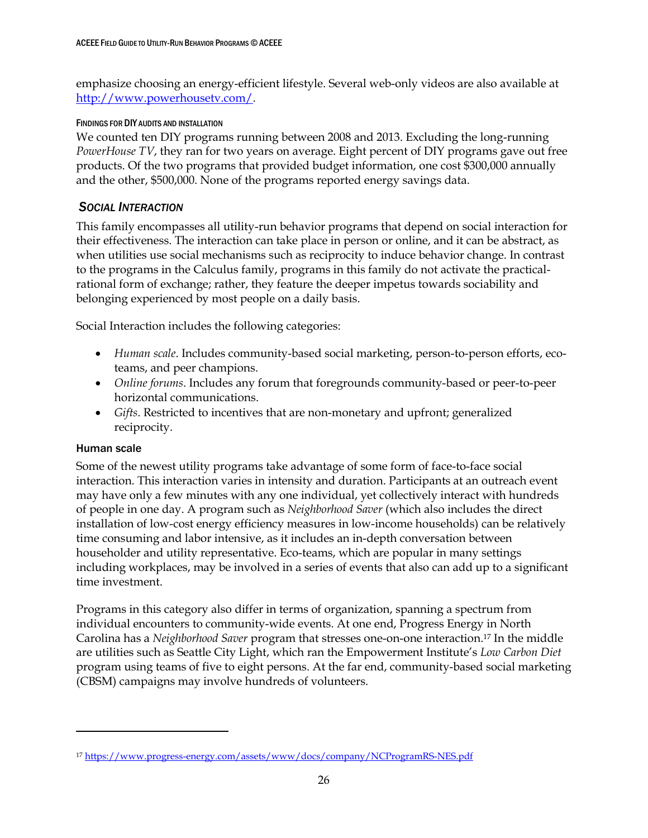emphasize choosing an energy-efficient lifestyle. Several web-only videos are also available at [http://www.powerhousetv.com/.](http://www.powerhousetv.com/)

## FINDINGS FOR DIY AUDITS AND INSTALLATION

We counted ten DIY programs running between 2008 and 2013. Excluding the long-running *PowerHouse TV*, they ran for two years on average. Eight percent of DIY programs gave out free products. Of the two programs that provided budget information, one cost \$300,000 annually and the other, \$500,000. None of the programs reported energy savings data.

# <span id="page-32-0"></span>*SOCIAL INTERACTION*

This family encompasses all utility-run behavior programs that depend on social interaction for their effectiveness. The interaction can take place in person or online, and it can be abstract, as when utilities use social mechanisms such as reciprocity to induce behavior change. In contrast to the programs in the Calculus family, programs in this family do not activate the practicalrational form of exchange; rather, they feature the deeper impetus towards sociability and belonging experienced by most people on a daily basis.

Social Interaction includes the following categories:

- *Human scale*. Includes community-based social marketing, person-to-person efforts, ecoteams, and peer champions.
- *Online forums*. Includes any forum that foregrounds community-based or peer-to-peer horizontal communications.
- *Gifts*. Restricted to incentives that are non-monetary and upfront; generalized reciprocity.

## <span id="page-32-1"></span>Human scale

 $\overline{a}$ 

Some of the newest utility programs take advantage of some form of face-to-face social interaction. This interaction varies in intensity and duration. Participants at an outreach event may have only a few minutes with any one individual, yet collectively interact with hundreds of people in one day. A program such as *Neighborhood Saver* (which also includes the direct installation of low-cost energy efficiency measures in low-income households) can be relatively time consuming and labor intensive, as it includes an in-depth conversation between householder and utility representative. Eco-teams, which are popular in many settings including workplaces, may be involved in a series of events that also can add up to a significant time investment.

Programs in this category also differ in terms of organization, spanning a spectrum from individual encounters to community-wide events. At one end, Progress Energy in North Carolina has a *Neighborhood Saver* program that stresses one-on-one interaction. <sup>17</sup> In the middle are utilities such as Seattle City Light, which ran the Empowerment Institute's *Low Carbon Diet*  program using teams of five to eight persons. At the far end, community-based social marketing (CBSM) campaigns may involve hundreds of volunteers.

<sup>17</sup> <https://www.progress-energy.com/assets/www/docs/company/NCProgramRS-NES.pdf>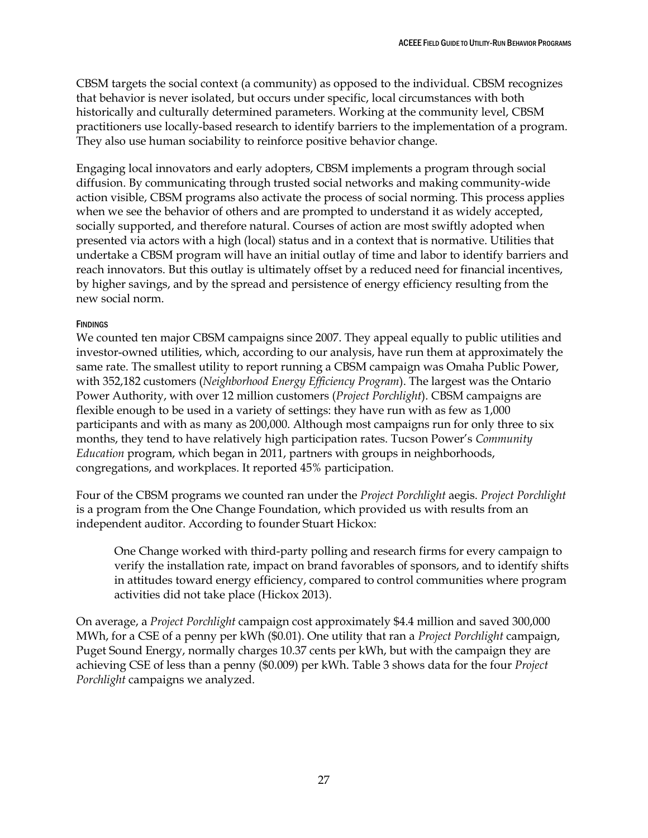CBSM targets the social context (a community) as opposed to the individual. CBSM recognizes that behavior is never isolated, but occurs under specific, local circumstances with both historically and culturally determined parameters. Working at the community level, CBSM practitioners use locally-based research to identify barriers to the implementation of a program. They also use human sociability to reinforce positive behavior change.

Engaging local innovators and early adopters, CBSM implements a program through social diffusion. By communicating through trusted social networks and making community-wide action visible, CBSM programs also activate the process of social norming. This process applies when we see the behavior of others and are prompted to understand it as widely accepted, socially supported, and therefore natural. Courses of action are most swiftly adopted when presented via actors with a high (local) status and in a context that is normative. Utilities that undertake a CBSM program will have an initial outlay of time and labor to identify barriers and reach innovators. But this outlay is ultimately offset by a reduced need for financial incentives, by higher savings, and by the spread and persistence of energy efficiency resulting from the new social norm.

### **FINDINGS**

We counted ten major CBSM campaigns since 2007. They appeal equally to public utilities and investor-owned utilities, which, according to our analysis, have run them at approximately the same rate. The smallest utility to report running a CBSM campaign was Omaha Public Power, with 352,182 customers (*Neighborhood Energy Efficiency Program*). The largest was the Ontario Power Authority, with over 12 million customers (*Project Porchlight*). CBSM campaigns are flexible enough to be used in a variety of settings: they have run with as few as 1,000 participants and with as many as 200,000. Although most campaigns run for only three to six months, they tend to have relatively high participation rates. Tucson Power's *Community Education* program, which began in 2011, partners with groups in neighborhoods, congregations, and workplaces. It reported 45% participation.

Four of the CBSM programs we counted ran under the *Project Porchlight* aegis. *Project Porchlight* is a program from the One Change Foundation, which provided us with results from an independent auditor. According to founder Stuart Hickox:

One Change worked with third-party polling and research firms for every campaign to verify the installation rate, impact on brand favorables of sponsors, and to identify shifts in attitudes toward energy efficiency, compared to control communities where program activities did not take place (Hickox 2013).

On average, a *Project Porchlight* campaign cost approximately \$4.4 million and saved 300,000 MWh, for a CSE of a penny per kWh (\$0.01). One utility that ran a *Project Porchlight* campaign, Puget Sound Energy, normally charges 10.37 cents per kWh, but with the campaign they are achieving CSE of less than a penny (\$0.009) per kWh. Table 3 shows data for the four *Project Porchlight* campaigns we analyzed.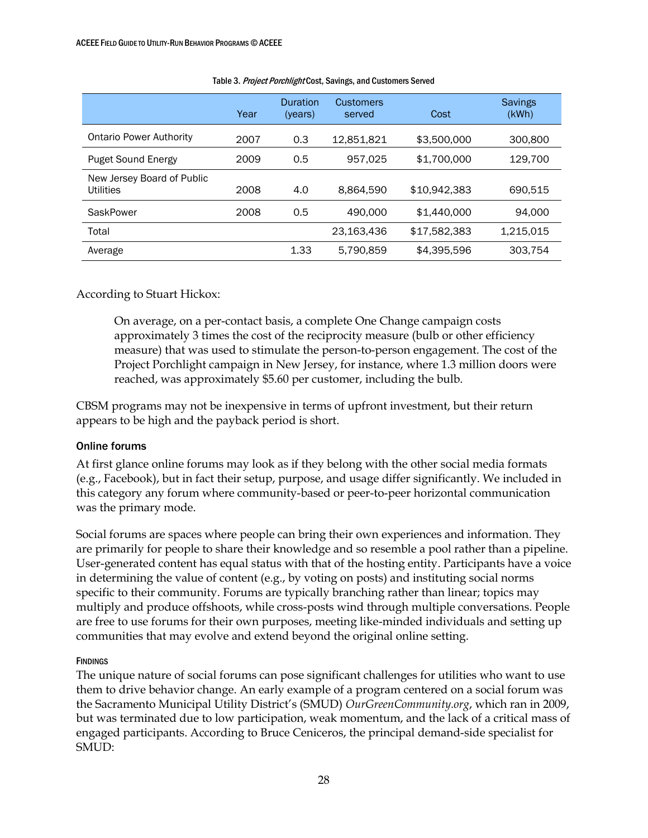|                                         | Year | Duration<br>(years) | Customers<br>served | Cost         | <b>Savings</b><br>(kWh) |
|-----------------------------------------|------|---------------------|---------------------|--------------|-------------------------|
| <b>Ontario Power Authority</b>          | 2007 | 0.3                 | 12,851,821          | \$3,500,000  | 300,800                 |
| <b>Puget Sound Energy</b>               | 2009 | 0.5                 | 957.025             | \$1,700,000  | 129.700                 |
| New Jersey Board of Public<br>Utilities | 2008 | 4.0                 | 8.864.590           | \$10,942,383 | 690.515                 |
| SaskPower                               | 2008 | 0.5                 | 490,000             | \$1,440,000  | 94.000                  |
| Total                                   |      |                     | 23,163,436          | \$17,582,383 | 1.215.015               |
| Average                                 |      | 1.33                | 5.790.859           | \$4,395,596  | 303,754                 |

#### Table 3. Project Porchlight Cost, Savings, and Customers Served

According to Stuart Hickox:

On average, on a per-contact basis, a complete One Change campaign costs approximately 3 times the cost of the reciprocity measure (bulb or other efficiency measure) that was used to stimulate the person-to-person engagement. The cost of the Project Porchlight campaign in New Jersey, for instance, where 1.3 million doors were reached, was approximately \$5.60 per customer, including the bulb.

CBSM programs may not be inexpensive in terms of upfront investment, but their return appears to be high and the payback period is short.

## <span id="page-34-0"></span>Online forums

At first glance online forums may look as if they belong with the other social media formats (e.g., Facebook), but in fact their setup, purpose, and usage differ significantly. We included in this category any forum where community-based or peer-to-peer horizontal communication was the primary mode.

Social forums are spaces where people can bring their own experiences and information. They are primarily for people to share their knowledge and so resemble a pool rather than a pipeline. User-generated content has equal status with that of the hosting entity. Participants have a voice in determining the value of content (e.g., by voting on posts) and instituting social norms specific to their community. Forums are typically branching rather than linear; topics may multiply and produce offshoots, while cross-posts wind through multiple conversations. People are free to use forums for their own purposes, meeting like-minded individuals and setting up communities that may evolve and extend beyond the original online setting.

## **FINDINGS**

The unique nature of social forums can pose significant challenges for utilities who want to use them to drive behavior change. An early example of a program centered on a social forum was the Sacramento Municipal Utility District's (SMUD) *OurGreenCommunity.org*, which ran in 2009, but was terminated due to low participation, weak momentum, and the lack of a critical mass of engaged participants. According to Bruce Ceniceros, the principal demand-side specialist for SMUD: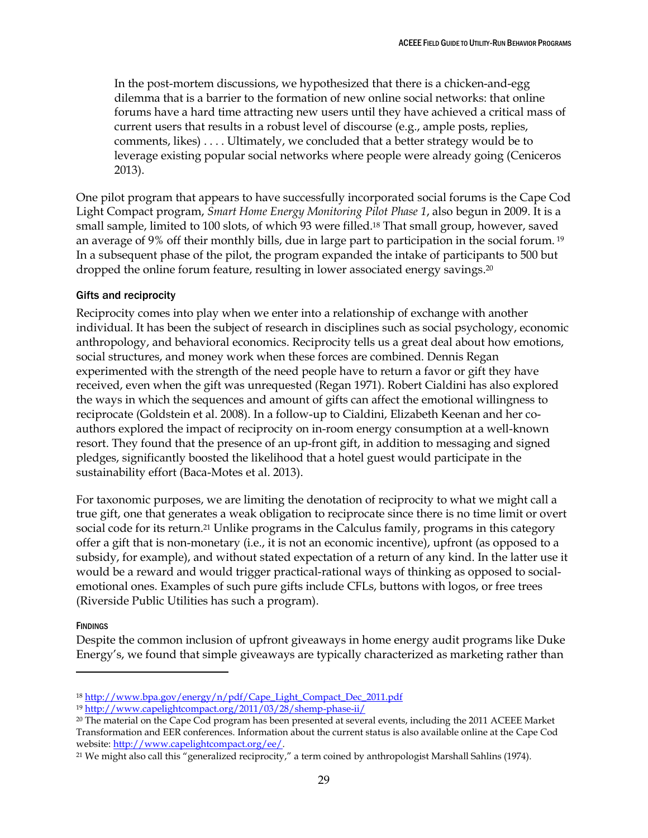In the post-mortem discussions, we hypothesized that there is a chicken-and-egg dilemma that is a barrier to the formation of new online social networks: that online forums have a hard time attracting new users until they have achieved a critical mass of current users that results in a robust level of discourse (e.g., ample posts, replies, comments, likes) . . . . Ultimately, we concluded that a better strategy would be to leverage existing popular social networks where people were already going (Ceniceros 2013).

One pilot program that appears to have successfully incorporated social forums is the Cape Cod Light Compact program, *Smart Home Energy Monitoring Pilot Phase 1*, also begun in 2009. It is a small sample, limited to 100 slots, of which 93 were filled. <sup>18</sup> That small group, however, saved an average of 9% off their monthly bills, due in large part to participation in the social forum. <sup>19</sup> In a subsequent phase of the pilot, the program expanded the intake of participants to 500 but dropped the online forum feature, resulting in lower associated energy savings. 20

### <span id="page-35-0"></span>Gifts and reciprocity

Reciprocity comes into play when we enter into a relationship of exchange with another individual. It has been the subject of research in disciplines such as social psychology, economic anthropology, and behavioral economics. Reciprocity tells us a great deal about how emotions, social structures, and money work when these forces are combined. Dennis Regan experimented with the strength of the need people have to return a favor or gift they have received, even when the gift was unrequested (Regan 1971). Robert Cialdini has also explored the ways in which the sequences and amount of gifts can affect the emotional willingness to reciprocate (Goldstein et al. 2008). In a follow-up to Cialdini, Elizabeth Keenan and her coauthors explored the impact of reciprocity on in-room energy consumption at a well-known resort. They found that the presence of an up-front gift, in addition to messaging and signed pledges, significantly boosted the likelihood that a hotel guest would participate in the sustainability effort (Baca-Motes et al. 2013).

For taxonomic purposes, we are limiting the denotation of reciprocity to what we might call a true gift, one that generates a weak obligation to reciprocate since there is no time limit or overt social code for its return.<sup>21</sup> Unlike programs in the Calculus family, programs in this category offer a gift that is non-monetary (i.e., it is not an economic incentive), upfront (as opposed to a subsidy, for example), and without stated expectation of a return of any kind. In the latter use it would be a reward and would trigger practical-rational ways of thinking as opposed to socialemotional ones. Examples of such pure gifts include CFLs, buttons with logos, or free trees (Riverside Public Utilities has such a program).

#### **FINDINGS**

 $\overline{a}$ 

Despite the common inclusion of upfront giveaways in home energy audit programs like Duke Energy's, we found that simple giveaways are typically characterized as marketing rather than

<sup>18</sup> [http://www.bpa.gov/energy/n/pdf/Cape\\_Light\\_Compact\\_Dec\\_2011.pdf](http://www.bpa.gov/energy/n/pdf/Cape_Light_Compact_Dec_2011.pdf)

<sup>19</sup> <http://www.capelightcompact.org/2011/03/28/shemp-phase-ii/>

<sup>20</sup> The material on the Cape Cod program has been presented at several events, including the 2011 ACEEE Market Transformation and EER conferences. Information about the current status is also available online at the Cape Cod website: [http://www.capelightcompact.org/ee/.](http://www.capelightcompact.org/ee/)

<sup>21</sup> We might also call this "generalized reciprocity," a term coined by anthropologist Marshall Sahlins (1974).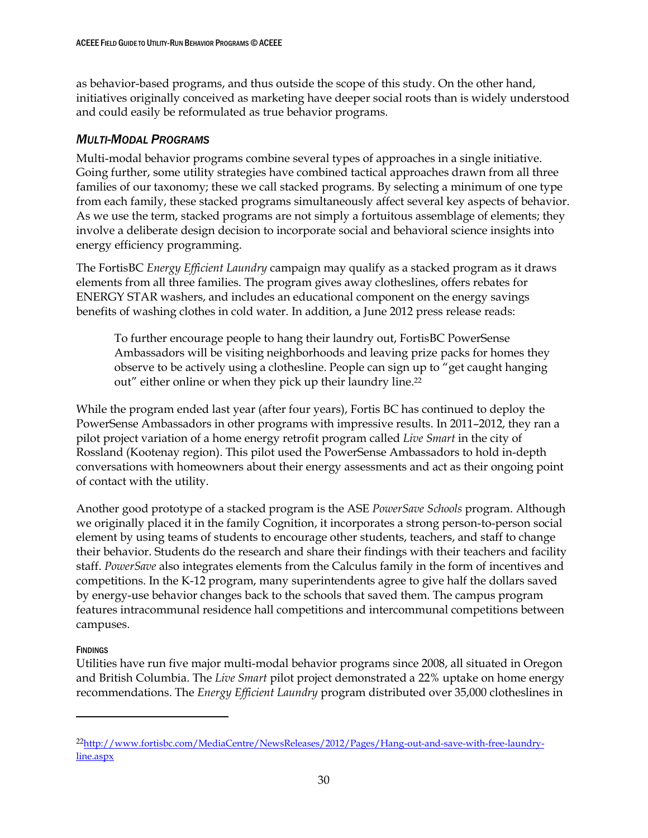as behavior-based programs, and thus outside the scope of this study. On the other hand, initiatives originally conceived as marketing have deeper social roots than is widely understood and could easily be reformulated as true behavior programs.

# <span id="page-36-0"></span>*MULTI-MODAL PROGRAMS*

Multi-modal behavior programs combine several types of approaches in a single initiative. Going further, some utility strategies have combined tactical approaches drawn from all three families of our taxonomy; these we call stacked programs. By selecting a minimum of one type from each family, these stacked programs simultaneously affect several key aspects of behavior. As we use the term, stacked programs are not simply a fortuitous assemblage of elements; they involve a deliberate design decision to incorporate social and behavioral science insights into energy efficiency programming.

The FortisBC *Energy Efficient Laundry* campaign may qualify as a stacked program as it draws elements from all three families. The program gives away clotheslines, offers rebates for ENERGY STAR washers, and includes an educational component on the energy savings benefits of washing clothes in cold water. In addition, a June 2012 press release reads:

To further encourage people to hang their laundry out, FortisBC PowerSense Ambassadors will be visiting neighborhoods and leaving prize packs for homes they observe to be actively using a clothesline. People can sign up to "get caught hanging out" either online or when they pick up their laundry line.<sup>22</sup>

While the program ended last year (after four years), Fortis BC has continued to deploy the PowerSense Ambassadors in other programs with impressive results. In 2011–2012, they ran a pilot project variation of a home energy retrofit program called *Live Smart* in the city of Rossland (Kootenay region). This pilot used the PowerSense Ambassadors to hold in-depth conversations with homeowners about their energy assessments and act as their ongoing point of contact with the utility.

Another good prototype of a stacked program is the ASE *PowerSave Schools* program. Although we originally placed it in the family Cognition, it incorporates a strong person-to-person social element by using teams of students to encourage other students, teachers, and staff to change their behavior. Students do the research and share their findings with their teachers and facility staff. *PowerSave* also integrates elements from the Calculus family in the form of incentives and competitions. In the K-12 program, many superintendents agree to give half the dollars saved by energy-use behavior changes back to the schools that saved them. The campus program features intracommunal residence hall competitions and intercommunal competitions between campuses.

# **FINDINGS**

 $\overline{a}$ 

Utilities have run five major multi-modal behavior programs since 2008, all situated in Oregon and British Columbia. The *Live Smart* pilot project demonstrated a 22% uptake on home energy recommendations. The *Energy Efficient Laundry* program distributed over 35,000 clotheslines in

<sup>22</sup>[http://www.fortisbc.com/MediaCentre/NewsReleases/2012/Pages/Hang-out-and-save-with-free-laundry](http://www.fortisbc.com/MediaCentre/NewsReleases/2012/Pages/Hang-out-and-save-with-free-laundry-line.aspx)[line.aspx](http://www.fortisbc.com/MediaCentre/NewsReleases/2012/Pages/Hang-out-and-save-with-free-laundry-line.aspx)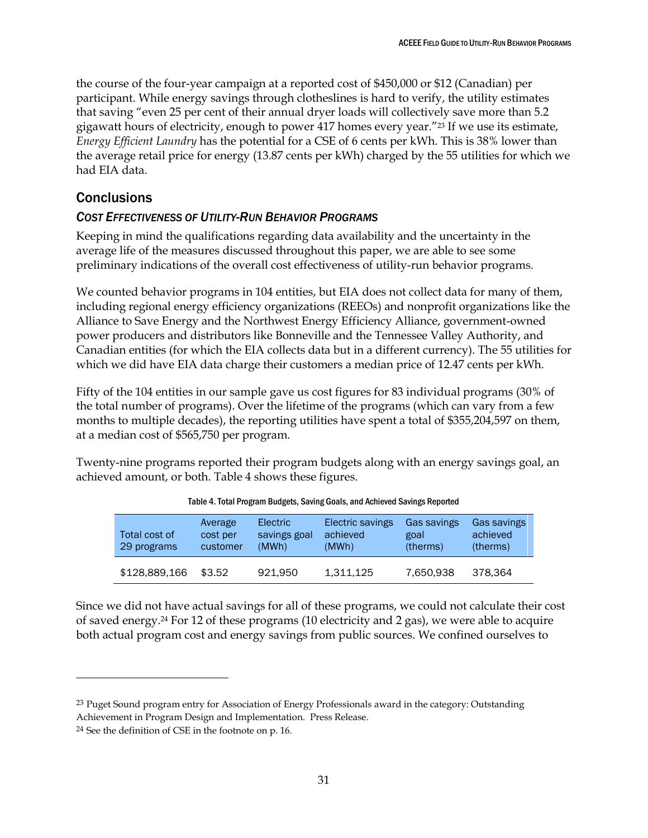the course of the four-year campaign at a reported cost of \$450,000 or \$12 (Canadian) per participant. While energy savings through clotheslines is hard to verify, the utility estimates that saving "even 25 per cent of their annual dryer loads will collectively save more than 5.2 gigawatt hours of electricity, enough to power 417 homes every year."<sup>23</sup> If we use its estimate, *Energy Efficient Laundry* has the potential for a CSE of 6 cents per kWh. This is 38% lower than the average retail price for energy (13.87 cents per kWh) charged by the 55 utilities for which we had EIA data.

# <span id="page-37-0"></span>**Conclusions**

# <span id="page-37-1"></span>*COST EFFECTIVENESS OF UTILITY-RUN BEHAVIOR PROGRAMS*

Keeping in mind the qualifications regarding data availability and the uncertainty in the average life of the measures discussed throughout this paper, we are able to see some preliminary indications of the overall cost effectiveness of utility-run behavior programs.

We counted behavior programs in 104 entities, but EIA does not collect data for many of them, including regional energy efficiency organizations (REEOs) and nonprofit organizations like the Alliance to Save Energy and the Northwest Energy Efficiency Alliance, government-owned power producers and distributors like Bonneville and the Tennessee Valley Authority, and Canadian entities (for which the EIA collects data but in a different currency). The 55 utilities for which we did have EIA data charge their customers a median price of 12.47 cents per kWh.

Fifty of the 104 entities in our sample gave us cost figures for 83 individual programs (30% of the total number of programs). Over the lifetime of the programs (which can vary from a few months to multiple decades), the reporting utilities have spent a total of \$355,204,597 on them, at a median cost of \$565,750 per program.

Twenty-nine programs reported their program budgets along with an energy savings goal, an achieved amount, or both. Table 4 shows these figures.

| Total cost of<br>29 programs | Average<br>cost per<br>customer | <b>Electric</b><br>savings goal<br>(MWh) | Electric savings<br>achieved<br>(MWh) | Gas savings<br>goal<br>(therms) | Gas savings<br>achieved<br>(therms) |
|------------------------------|---------------------------------|------------------------------------------|---------------------------------------|---------------------------------|-------------------------------------|
| \$128,889,166                | \$3.52                          | 921.950                                  | 1.311.125                             | 7.650.938                       | 378.364                             |

Since we did not have actual savings for all of these programs, we could not calculate their cost of saved energy.<sup>24</sup> For 12 of these programs (10 electricity and 2 gas), we were able to acquire both actual program cost and energy savings from public sources. We confined ourselves to

 $\ddot{\phantom{a}}$ 

<sup>&</sup>lt;sup>23</sup> Puget Sound program entry for Association of Energy Professionals award in the category: Outstanding Achievement in Program Design and Implementation. Press Release.

<sup>24</sup> See the definition of CSE in the footnote on p. 16.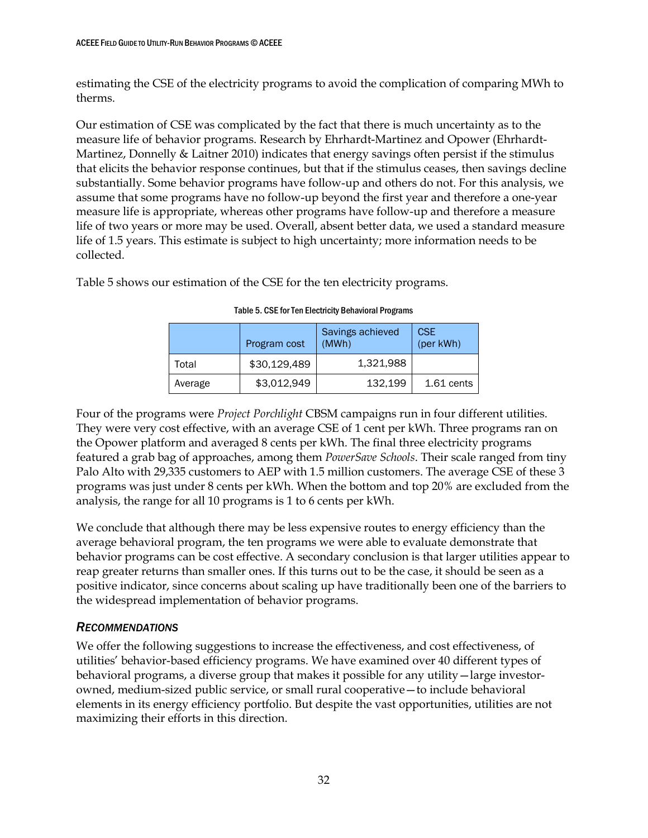estimating the CSE of the electricity programs to avoid the complication of comparing MWh to therms.

Our estimation of CSE was complicated by the fact that there is much uncertainty as to the measure life of behavior programs. Research by Ehrhardt-Martinez and Opower (Ehrhardt-Martinez, Donnelly & Laitner 2010) indicates that energy savings often persist if the stimulus that elicits the behavior response continues, but that if the stimulus ceases, then savings decline substantially. Some behavior programs have follow-up and others do not. For this analysis, we assume that some programs have no follow-up beyond the first year and therefore a one-year measure life is appropriate, whereas other programs have follow-up and therefore a measure life of two years or more may be used. Overall, absent better data, we used a standard measure life of 1.5 years. This estimate is subject to high uncertainty; more information needs to be collected.

Table 5 shows our estimation of the CSE for the ten electricity programs.

|         | Program cost | Savings achieved<br>(MWh) | <b>CSE</b><br>(per kWh) |
|---------|--------------|---------------------------|-------------------------|
| Total   | \$30,129,489 | 1,321,988                 |                         |
| Average | \$3,012,949  | 132,199                   | $1.61$ cents            |

## Table 5. CSE for Ten Electricity Behavioral Programs

Four of the programs were *Project Porchlight* CBSM campaigns run in four different utilities. They were very cost effective, with an average CSE of 1 cent per kWh. Three programs ran on the Opower platform and averaged 8 cents per kWh. The final three electricity programs featured a grab bag of approaches, among them *PowerSave Schools*. Their scale ranged from tiny Palo Alto with 29,335 customers to AEP with 1.5 million customers. The average CSE of these 3 programs was just under 8 cents per kWh. When the bottom and top 20% are excluded from the analysis, the range for all 10 programs is 1 to 6 cents per kWh.

We conclude that although there may be less expensive routes to energy efficiency than the average behavioral program, the ten programs we were able to evaluate demonstrate that behavior programs can be cost effective. A secondary conclusion is that larger utilities appear to reap greater returns than smaller ones. If this turns out to be the case, it should be seen as a positive indicator, since concerns about scaling up have traditionally been one of the barriers to the widespread implementation of behavior programs.

# <span id="page-38-0"></span>*RECOMMENDATIONS*

We offer the following suggestions to increase the effectiveness, and cost effectiveness, of utilities' behavior-based efficiency programs. We have examined over 40 different types of behavioral programs, a diverse group that makes it possible for any utility—large investorowned, medium-sized public service, or small rural cooperative—to include behavioral elements in its energy efficiency portfolio. But despite the vast opportunities, utilities are not maximizing their efforts in this direction.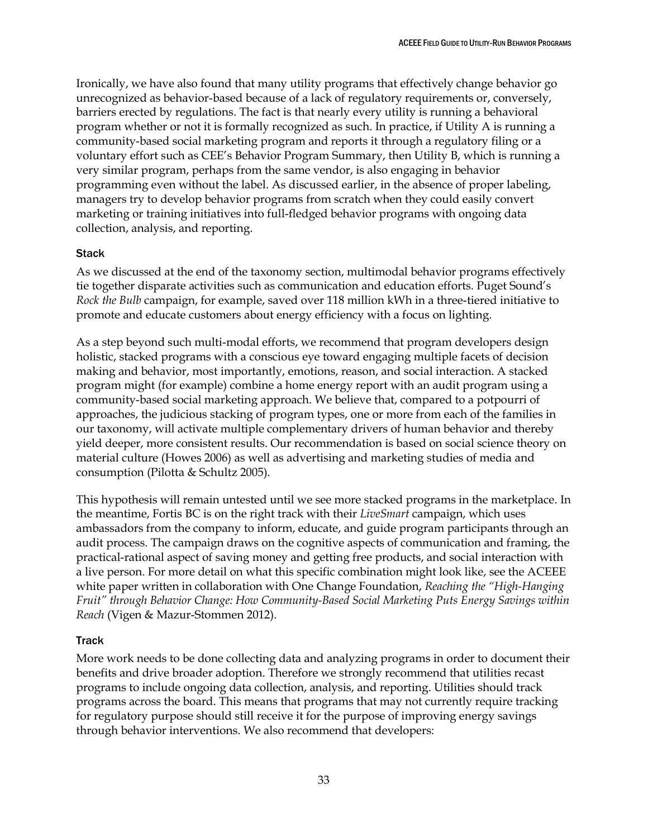Ironically, we have also found that many utility programs that effectively change behavior go unrecognized as behavior-based because of a lack of regulatory requirements or, conversely, barriers erected by regulations. The fact is that nearly every utility is running a behavioral program whether or not it is formally recognized as such. In practice, if Utility A is running a community-based social marketing program and reports it through a regulatory filing or a voluntary effort such as CEE's Behavior Program Summary, then Utility B, which is running a very similar program, perhaps from the same vendor, is also engaging in behavior programming even without the label. As discussed earlier, in the absence of proper labeling, managers try to develop behavior programs from scratch when they could easily convert marketing or training initiatives into full-fledged behavior programs with ongoing data collection, analysis, and reporting.

## <span id="page-39-0"></span>Stack

As we discussed at the end of the taxonomy section, multimodal behavior programs effectively tie together disparate activities such as communication and education efforts. Puget Sound's *Rock the Bulb* campaign, for example, saved over 118 million kWh in a three-tiered initiative to promote and educate customers about energy efficiency with a focus on lighting.

As a step beyond such multi-modal efforts, we recommend that program developers design holistic, stacked programs with a conscious eye toward engaging multiple facets of decision making and behavior, most importantly, emotions, reason, and social interaction. A stacked program might (for example) combine a home energy report with an audit program using a community-based social marketing approach. We believe that, compared to a potpourri of approaches, the judicious stacking of program types, one or more from each of the families in our taxonomy, will activate multiple complementary drivers of human behavior and thereby yield deeper, more consistent results. Our recommendation is based on social science theory on material culture (Howes 2006) as well as advertising and marketing studies of media and consumption (Pilotta & Schultz 2005).

This hypothesis will remain untested until we see more stacked programs in the marketplace. In the meantime, Fortis BC is on the right track with their *LiveSmart* campaign, which uses ambassadors from the company to inform, educate, and guide program participants through an audit process. The campaign draws on the cognitive aspects of communication and framing, the practical-rational aspect of saving money and getting free products, and social interaction with a live person. For more detail on what this specific combination might look like, see the ACEEE white paper written in collaboration with One Change Foundation, *Reaching the "High-Hanging Fruit" through Behavior Change: How Community-Based Social Marketing Puts Energy Savings within Reach* (Vigen & Mazur-Stommen 2012).

## <span id="page-39-1"></span>**Track**

More work needs to be done collecting data and analyzing programs in order to document their benefits and drive broader adoption. Therefore we strongly recommend that utilities recast programs to include ongoing data collection, analysis, and reporting. Utilities should track programs across the board. This means that programs that may not currently require tracking for regulatory purpose should still receive it for the purpose of improving energy savings through behavior interventions. We also recommend that developers: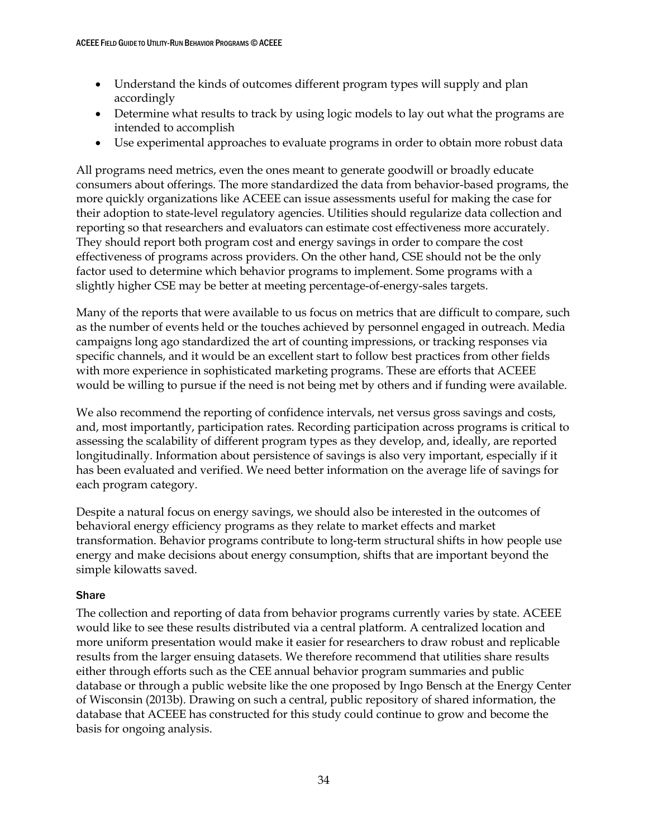- Understand the kinds of outcomes different program types will supply and plan accordingly
- Determine what results to track by using logic models to lay out what the programs are intended to accomplish
- Use experimental approaches to evaluate programs in order to obtain more robust data

All programs need metrics, even the ones meant to generate goodwill or broadly educate consumers about offerings. The more standardized the data from behavior-based programs, the more quickly organizations like ACEEE can issue assessments useful for making the case for their adoption to state-level regulatory agencies. Utilities should regularize data collection and reporting so that researchers and evaluators can estimate cost effectiveness more accurately. They should report both program cost and energy savings in order to compare the cost effectiveness of programs across providers. On the other hand, CSE should not be the only factor used to determine which behavior programs to implement. Some programs with a slightly higher CSE may be better at meeting percentage-of-energy-sales targets.

Many of the reports that were available to us focus on metrics that are difficult to compare, such as the number of events held or the touches achieved by personnel engaged in outreach. Media campaigns long ago standardized the art of counting impressions, or tracking responses via specific channels, and it would be an excellent start to follow best practices from other fields with more experience in sophisticated marketing programs. These are efforts that ACEEE would be willing to pursue if the need is not being met by others and if funding were available.

We also recommend the reporting of confidence intervals, net versus gross savings and costs, and, most importantly, participation rates. Recording participation across programs is critical to assessing the scalability of different program types as they develop, and, ideally, are reported longitudinally. Information about persistence of savings is also very important, especially if it has been evaluated and verified. We need better information on the average life of savings for each program category.

Despite a natural focus on energy savings, we should also be interested in the outcomes of behavioral energy efficiency programs as they relate to market effects and market transformation. Behavior programs contribute to long-term structural shifts in how people use energy and make decisions about energy consumption, shifts that are important beyond the simple kilowatts saved.

## <span id="page-40-0"></span>**Share**

The collection and reporting of data from behavior programs currently varies by state. ACEEE would like to see these results distributed via a central platform. A centralized location and more uniform presentation would make it easier for researchers to draw robust and replicable results from the larger ensuing datasets. We therefore recommend that utilities share results either through efforts such as the CEE annual behavior program summaries and public database or through a public website like the one proposed by Ingo Bensch at the Energy Center of Wisconsin (2013b). Drawing on such a central, public repository of shared information, the database that ACEEE has constructed for this study could continue to grow and become the basis for ongoing analysis.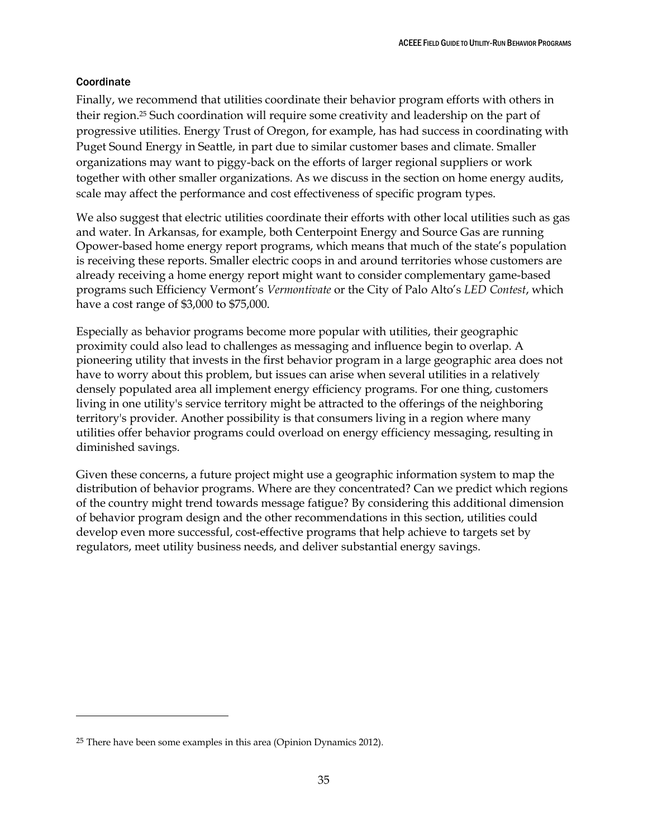## <span id="page-41-0"></span>**Coordinate**

 $\ddot{\phantom{a}}$ 

Finally, we recommend that utilities coordinate their behavior program efforts with others in their region.<sup>25</sup> Such coordination will require some creativity and leadership on the part of progressive utilities. Energy Trust of Oregon, for example, has had success in coordinating with Puget Sound Energy in Seattle, in part due to similar customer bases and climate. Smaller organizations may want to piggy-back on the efforts of larger regional suppliers or work together with other smaller organizations. As we discuss in the section on home energy audits, scale may affect the performance and cost effectiveness of specific program types.

We also suggest that electric utilities coordinate their efforts with other local utilities such as gas and water. In Arkansas, for example, both Centerpoint Energy and Source Gas are running Opower-based home energy report programs, which means that much of the state's population is receiving these reports. Smaller electric coops in and around territories whose customers are already receiving a home energy report might want to consider complementary game-based programs such Efficiency Vermont's *Vermontivate* or the City of Palo Alto's *LED Contest*, which have a cost range of \$3,000 to \$75,000.

Especially as behavior programs become more popular with utilities, their geographic proximity could also lead to challenges as messaging and influence begin to overlap. A pioneering utility that invests in the first behavior program in a large geographic area does not have to worry about this problem, but issues can arise when several utilities in a relatively densely populated area all implement energy efficiency programs. For one thing, customers living in one utility's service territory might be attracted to the offerings of the neighboring territory's provider. Another possibility is that consumers living in a region where many utilities offer behavior programs could overload on energy efficiency messaging, resulting in diminished savings.

Given these concerns, a future project might use a geographic information system to map the distribution of behavior programs. Where are they concentrated? Can we predict which regions of the country might trend towards message fatigue? By considering this additional dimension of behavior program design and the other recommendations in this section, utilities could develop even more successful, cost-effective programs that help achieve to targets set by regulators, meet utility business needs, and deliver substantial energy savings.

<sup>&</sup>lt;sup>25</sup> There have been some examples in this area (Opinion Dynamics 2012).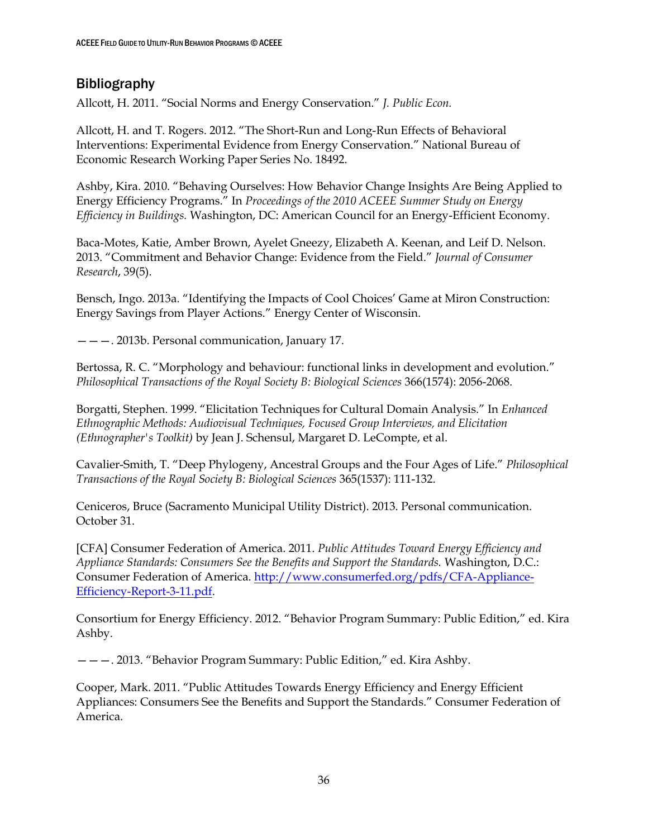# <span id="page-42-0"></span>Bibliography

Allcott, H. 2011. "Social Norms and Energy Conservation." *J. Public Econ.*

Allcott, H. and T. Rogers. 2012. "The Short-Run and Long-Run Effects of Behavioral Interventions: Experimental Evidence from Energy Conservation." National Bureau of Economic Research Working Paper Series No. 18492.

Ashby, Kira. 2010. "Behaving Ourselves: How Behavior Change Insights Are Being Applied to Energy Efficiency Programs." In *Proceedings of the 2010 ACEEE Summer Study on Energy Efficiency in Buildings.* Washington, DC: American Council for an Energy-Efficient Economy.

Baca-Motes, Katie, Amber Brown, Ayelet Gneezy, Elizabeth A. Keenan, and Leif D. Nelson. 2013. "Commitment and Behavior Change: Evidence from the Field." *Journal of Consumer Research*, 39(5).

Bensch, Ingo. 2013a. "Identifying the Impacts of Cool Choices' Game at Miron Construction: Energy Savings from Player Actions." Energy Center of Wisconsin.

———. 2013b. Personal communication, January 17.

Bertossa, R. C. "Morphology and behaviour: functional links in development and evolution." *Philosophical Transactions of the Royal Society B: Biological Sciences* 366(1574): 2056-2068.

Borgatti, Stephen. 1999. "Elicitation Techniques for Cultural Domain Analysis." In *Enhanced Ethnographic Methods: Audiovisual Techniques, Focused Group Interviews, and Elicitation (Ethnographer's Toolkit)* by Jean J. Schensul, Margaret D. LeCompte, et al.

Cavalier-Smith, T. "Deep Phylogeny, Ancestral Groups and the Four Ages of Life." *Philosophical Transactions of the Royal Society B: Biological Sciences* 365(1537): 111-132.

Ceniceros, Bruce (Sacramento Municipal Utility District). 2013. Personal communication. October 31.

[CFA] Consumer Federation of America. 2011. *Public Attitudes Toward Energy Efficiency and Appliance Standards: Consumers See the Benefits and Support the Standards.* Washington, D.C.: Consumer Federation of America. [http://www.consumerfed.org/pdfs/CFA-Appliance-](http://www.consumerfed.org/pdfs/CFA-Appliance-Efficiency-Report-3-11.pdf)[Efficiency-Report-3-11.pdf.](http://www.consumerfed.org/pdfs/CFA-Appliance-Efficiency-Report-3-11.pdf)

Consortium for Energy Efficiency. 2012. "Behavior Program Summary: Public Edition," ed. Kira Ashby.

———. 2013. "Behavior Program Summary: Public Edition," ed. Kira Ashby.

Cooper, Mark. 2011. "Public Attitudes Towards Energy Efficiency and Energy Efficient Appliances: Consumers See the Benefits and Support the Standards." Consumer Federation of America.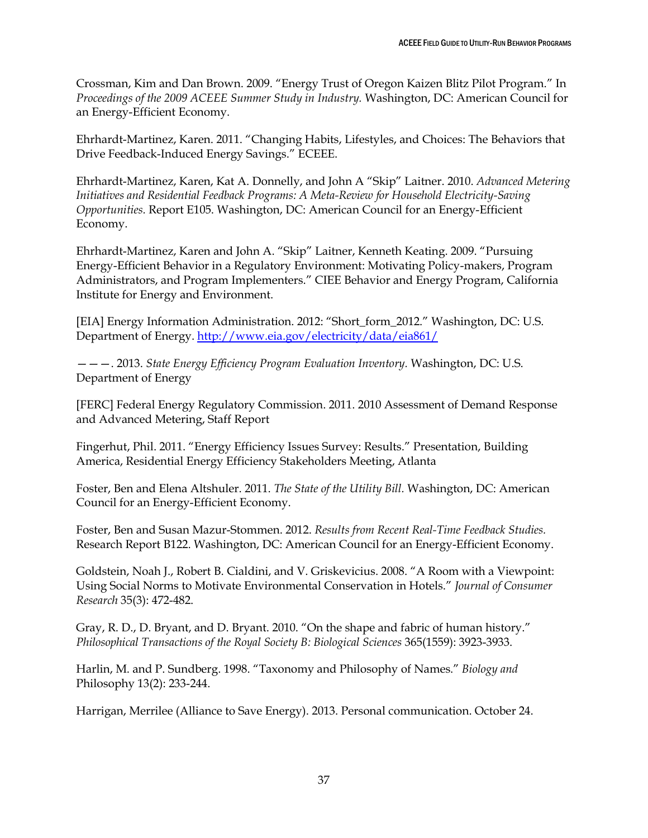Crossman, Kim and Dan Brown. 2009. "Energy Trust of Oregon Kaizen Blitz Pilot Program." In *Proceedings of the 2009 ACEEE Summer Study in Industry.* Washington, DC: American Council for an Energy-Efficient Economy.

Ehrhardt-Martinez, Karen. 2011. "Changing Habits, Lifestyles, and Choices: The Behaviors that Drive Feedback-Induced Energy Savings." ECEEE.

Ehrhardt-Martinez, Karen, Kat A. Donnelly, and John A "Skip" Laitner. 2010. *Advanced Metering Initiatives and Residential Feedback Programs: A Meta-Review for Household Electricity-Saving Opportunities.* Report E105. Washington, DC: American Council for an Energy-Efficient Economy.

Ehrhardt-Martinez, Karen and John A. "Skip" Laitner, Kenneth Keating. 2009. "Pursuing Energy-Efficient Behavior in a Regulatory Environment: Motivating Policy-makers, Program Administrators, and Program Implementers." CIEE Behavior and Energy Program, California Institute for Energy and Environment.

[EIA] Energy Information Administration. 2012: "Short\_form\_2012." Washington, DC: U.S. Department of Energy.<http://www.eia.gov/electricity/data/eia861/>

———. 2013. *State Energy Efficiency Program Evaluation Inventory.* Washington, DC: U.S. Department of Energy

[FERC] Federal Energy Regulatory Commission. 2011. 2010 Assessment of Demand Response and Advanced Metering, Staff Report

Fingerhut, Phil. 2011. "Energy Efficiency Issues Survey: Results." Presentation, Building America, Residential Energy Efficiency Stakeholders Meeting, Atlanta

Foster, Ben and Elena Altshuler. 2011. *The State of the Utility Bill.* Washington, DC: American Council for an Energy-Efficient Economy.

Foster, Ben and Susan Mazur-Stommen. 2012. *Results from Recent Real-Time Feedback Studies.* Research Report B122. Washington, DC: American Council for an Energy-Efficient Economy.

Goldstein, Noah J., Robert B. Cialdini, and V. Griskevicius. 2008. "A Room with a Viewpoint: Using Social Norms to Motivate Environmental Conservation in Hotels." *Journal of Consumer Research* 35(3): 472-482.

Gray, R. D., D. Bryant, and D. Bryant. 2010. "On the shape and fabric of human history." *Philosophical Transactions of the Royal Society B: Biological Sciences* 365(1559): 3923-3933.

Harlin, M. and P. Sundberg. 1998. "Taxonomy and Philosophy of Names." *Biology and* Philosophy 13(2): 233-244.

Harrigan, Merrilee (Alliance to Save Energy). 2013. Personal communication. October 24.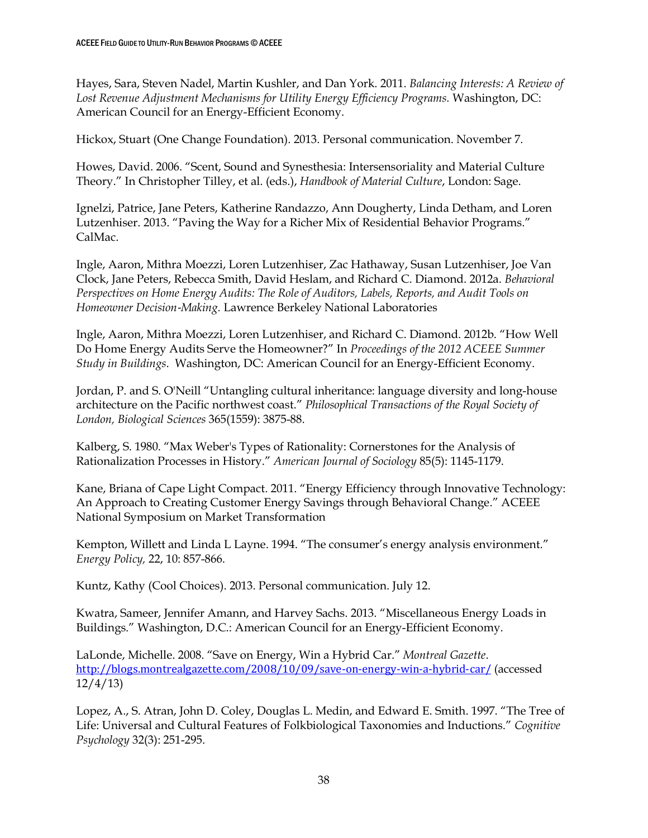Hayes, Sara, Steven Nadel, Martin Kushler, and Dan York. 2011. *Balancing Interests: A Review of Lost Revenue Adjustment Mechanisms for Utility Energy Efficiency Programs.* Washington, DC: American Council for an Energy-Efficient Economy.

Hickox, Stuart (One Change Foundation). 2013. Personal communication. November 7.

Howes, David. 2006. "Scent, Sound and Synesthesia: Intersensoriality and Material Culture Theory." In Christopher Tilley, et al. (eds.), *Handbook of Material Culture*, London: Sage.

Ignelzi, Patrice, Jane Peters, Katherine Randazzo, Ann Dougherty, Linda Detham, and Loren Lutzenhiser. 2013. "Paving the Way for a Richer Mix of Residential Behavior Programs." CalMac.

Ingle, Aaron, Mithra Moezzi, Loren Lutzenhiser, Zac Hathaway, Susan Lutzenhiser, Joe Van Clock, Jane Peters, Rebecca Smith, David Heslam, and Richard C. Diamond. 2012a. *Behavioral Perspectives on Home Energy Audits: The Role of Auditors, Labels, Reports, and Audit Tools on Homeowner Decision*‐*Making.* Lawrence Berkeley National Laboratories

Ingle, Aaron, Mithra Moezzi, Loren Lutzenhiser, and Richard C. Diamond. 2012b. "How Well Do Home Energy Audits Serve the Homeowner?" In *Proceedings of the 2012 ACEEE Summer Study in Buildings*. Washington, DC: American Council for an Energy-Efficient Economy.

Jordan, P. and S. O'Neill "Untangling cultural inheritance: language diversity and long-house architecture on the Pacific northwest coast." *Philosophical Transactions of the Royal Society of London, Biological Sciences* 365(1559): 3875-88.

Kalberg, S. 1980. "Max Weber's Types of Rationality: Cornerstones for the Analysis of Rationalization Processes in History." *American Journal of Sociology* 85(5): 1145-1179.

Kane, Briana of Cape Light Compact. 2011. "Energy Efficiency through Innovative Technology: An Approach to Creating Customer Energy Savings through Behavioral Change." ACEEE National Symposium on Market Transformation

Kempton, Willett and Linda L Layne. 1994. "The consumer's energy analysis environment." *Energy Policy,* 22, 10: 857-866.

Kuntz, Kathy (Cool Choices). 2013. Personal communication. July 12.

Kwatra, Sameer, Jennifer Amann, and Harvey Sachs. 2013. "Miscellaneous Energy Loads in Buildings." Washington, D.C.: American Council for an Energy-Efficient Economy.

LaLonde, Michelle. 2008. "Save on Energy, Win a Hybrid Car." *Montreal Gazette*. <http://blogs.montrealgazette.com/2008/10/09/save-on-energy-win-a-hybrid-car/> (accessed 12/4/13)

Lopez, A., S. Atran, John D. Coley, Douglas L. Medin, and Edward E. Smith. 1997. "The Tree of Life: Universal and Cultural Features of Folkbiological Taxonomies and Inductions." *Cognitive Psychology* 32(3): 251-295.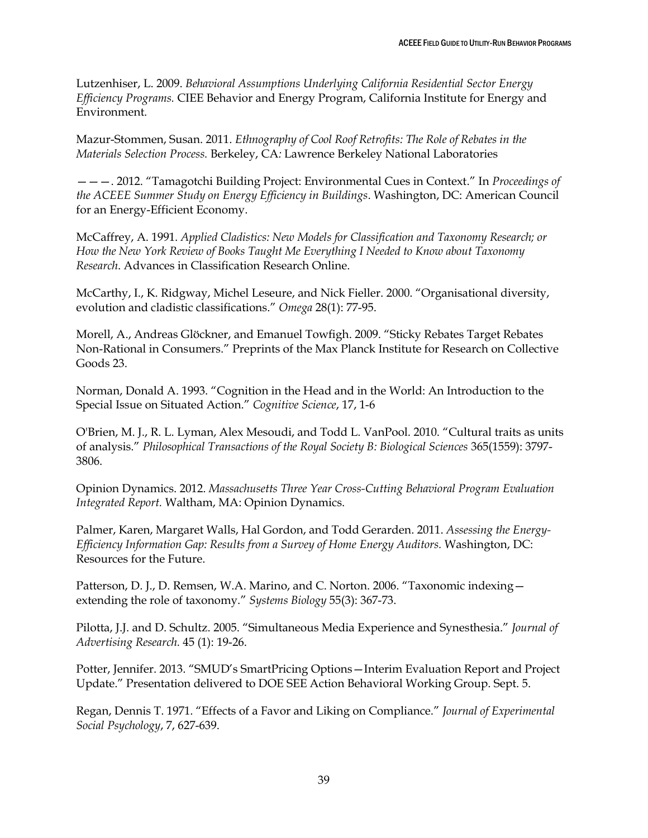Lutzenhiser, L. 2009. *Behavioral Assumptions Underlying California Residential Sector Energy Efficiency Programs.* CIEE Behavior and Energy Program, California Institute for Energy and Environment.

Mazur-Stommen, Susan. 2011. *Ethnography of Cool Roof Retrofits: The Role of Rebates in the Materials Selection Process.* Berkeley, CA*:* Lawrence Berkeley National Laboratories

———. 2012. "Tamagotchi Building Project: Environmental Cues in Context." In *Proceedings of the ACEEE Summer Study on Energy Efficiency in Buildings*. Washington, DC: American Council for an Energy-Efficient Economy.

McCaffrey, A. 1991. *Applied Cladistics: New Models for Classification and Taxonomy Research; or How the New York Review of Books Taught Me Everything I Needed to Know about Taxonomy Research*. Advances in Classification Research Online.

McCarthy, I., K. Ridgway, Michel Leseure, and Nick Fieller. 2000. "Organisational diversity, evolution and cladistic classifications." *Omega* 28(1): 77-95.

Morell, A., Andreas Glöckner, and Emanuel Towfigh. 2009. "Sticky Rebates Target Rebates Non-Rational in Consumers." Preprints of the Max Planck Institute for Research on Collective Goods 23.

Norman, Donald A. 1993. "Cognition in the Head and in the World: An Introduction to the Special Issue on Situated Action." *Cognitive Science*, 17, 1-6

O'Brien, M. J., R. L. Lyman, Alex Mesoudi, and Todd L. VanPool. 2010. "Cultural traits as units of analysis." *Philosophical Transactions of the Royal Society B: Biological Sciences* 365(1559): 3797- 3806.

Opinion Dynamics. 2012. *Massachusetts Three Year Cross-Cutting Behavioral Program Evaluation Integrated Report.* Waltham, MA: Opinion Dynamics.

Palmer, Karen, Margaret Walls, Hal Gordon, and Todd Gerarden. 2011. *Assessing the Energy-Efficiency Information Gap: Results from a Survey of Home Energy Auditors.* Washington, DC: Resources for the Future.

Patterson, D. J., D. Remsen, W.A. Marino, and C. Norton. 2006. "Taxonomic indexing extending the role of taxonomy." *Systems Biology* 55(3): 367-73.

Pilotta, J.J. and D. Schultz. 2005. "Simultaneous Media Experience and Synesthesia." *Journal of Advertising Research.* 45 (1): 19-26.

Potter, Jennifer. 2013. "SMUD's SmartPricing Options—Interim Evaluation Report and Project Update." Presentation delivered to DOE SEE Action Behavioral Working Group. Sept. 5.

Regan, Dennis T. 1971. "Effects of a Favor and Liking on Compliance." *Journal of Experimental Social Psychology*, 7, 627-639.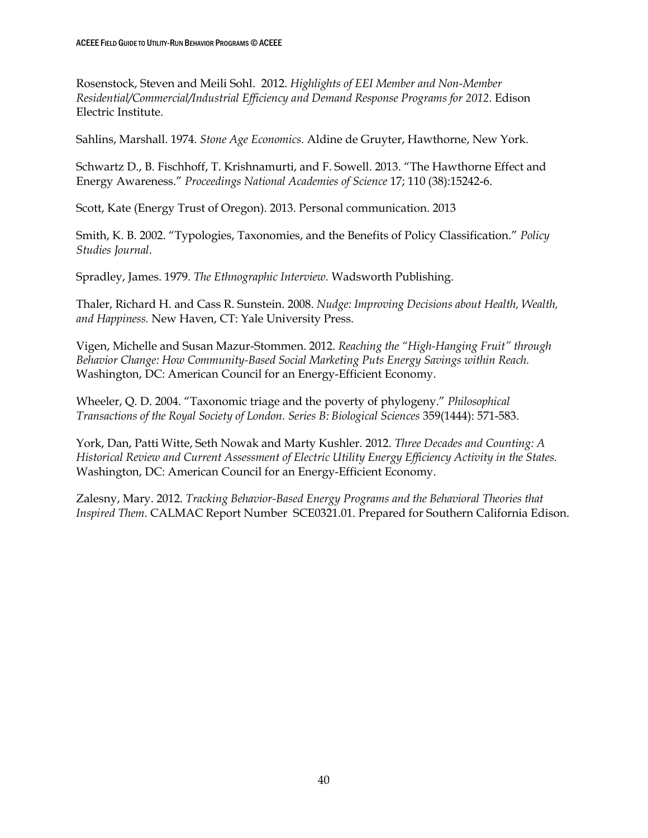Rosenstock, Steven and Meili Sohl. 2012. *Highlights of EEI Member and Non-Member Residential/Commercial/Industrial Efficiency and Demand Response Programs for 2012.* Edison Electric Institute.

Sahlins, Marshall. 1974. *Stone Age Economics.* Aldine de Gruyter, Hawthorne, New York.

Schwartz D., B. Fischhoff, T. Krishnamurti, and F. Sowell. 2013. "The Hawthorne Effect and Energy Awareness." *Proceedings National Academies of Science* 17; 110 (38):15242-6.

Scott, Kate (Energy Trust of Oregon). 2013. Personal communication. 2013

Smith, K. B. 2002. "Typologies, Taxonomies, and the Benefits of Policy Classification." *Policy Studies Journal*.

Spradley, James. 1979. *The Ethnographic Interview.* Wadsworth Publishing.

Thaler, Richard H. and Cass R. Sunstein. 2008. *Nudge: Improving Decisions about Health, Wealth, and Happiness.* New Haven, CT: Yale University Press.

Vigen, Michelle and Susan Mazur-Stommen. 2012. *Reaching the "High-Hanging Fruit" through Behavior Change: How Community-Based Social Marketing Puts Energy Savings within Reach.* Washington, DC: American Council for an Energy-Efficient Economy.

Wheeler, Q. D. 2004. "Taxonomic triage and the poverty of phylogeny." *Philosophical Transactions of the Royal Society of London. Series B: Biological Sciences* 359(1444): 571-583.

York, Dan, Patti Witte, Seth Nowak and Marty Kushler. 2012. *Three Decades and Counting: A Historical Review and Current Assessment of Electric Utility Energy Efficiency Activity in the States.* Washington, DC: American Council for an Energy-Efficient Economy.

Zalesny, Mary. 2012. *Tracking Behavior-Based Energy Programs and the Behavioral Theories that Inspired Them*. CALMAC Report Number SCE0321.01. Prepared for Southern California Edison.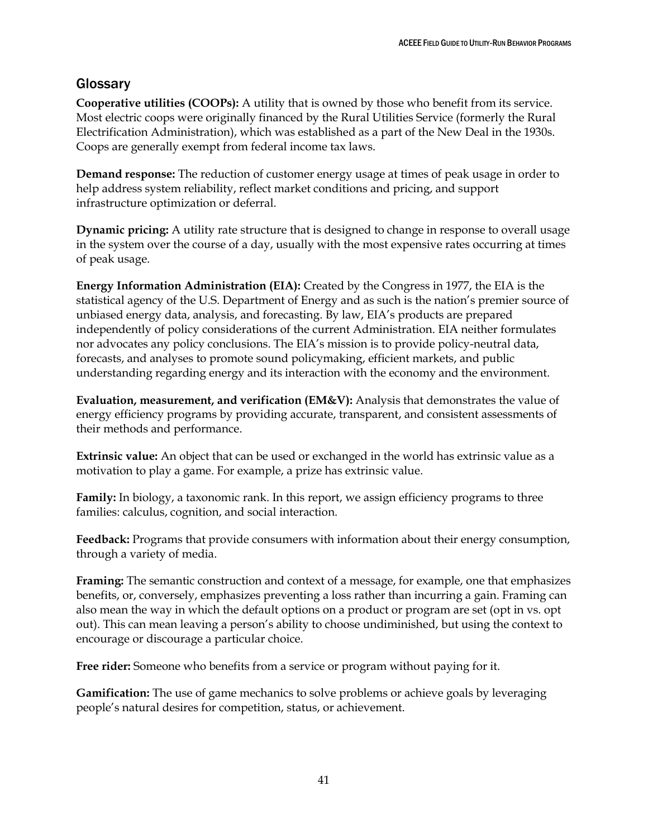# <span id="page-47-0"></span>**Glossary**

**Cooperative utilities (COOPs):** A utility that is owned by those who benefit from its service. Most electric coops were originally financed by the Rural Utilities Service (formerly the Rural Electrification Administration), which was established as a part of the New Deal in the 1930s. Coops are generally exempt from federal income tax laws.

**Demand response:** The reduction of customer energy usage at times of peak usage in order to help address system reliability, reflect market conditions and pricing, and support infrastructure optimization or deferral.

**Dynamic pricing:** A utility rate structure that is designed to change in response to overall usage in the system over the course of a day, usually with the most expensive rates occurring at times of peak usage.

**Energy Information Administration (EIA):** Created by the Congress in 1977, the EIA is the statistical agency of the U.S. Department of Energy and as such is the nation's premier source of unbiased energy data, analysis, and forecasting. By law, EIA's products are prepared independently of policy considerations of the current Administration. EIA neither formulates nor advocates any policy conclusions. The EIA's mission is to provide policy-neutral data, forecasts, and analyses to promote sound policymaking, efficient markets, and public understanding regarding energy and its interaction with the economy and the environment.

**Evaluation, measurement, and verification (EM&V):** Analysis that demonstrates the value of energy efficiency programs by providing accurate, transparent, and consistent assessments of their methods and performance.

**Extrinsic value:** An object that can be used or exchanged in the world has extrinsic value as a motivation to play a game. For example, a prize has extrinsic value.

**Family:** In biology, a taxonomic rank. In this report, we assign efficiency programs to three families: calculus, cognition, and social interaction.

**Feedback:** Programs that provide consumers with information about their energy consumption, through a variety of media.

**Framing:** The semantic construction and context of a message, for example, one that emphasizes benefits, or, conversely, emphasizes preventing a loss rather than incurring a gain. Framing can also mean the way in which the default options on a product or program are set (opt in vs. opt out). This can mean leaving a person's ability to choose undiminished, but using the context to encourage or discourage a particular choice.

**Free rider:** Someone who benefits from a service or program without paying for it.

**Gamification:** The use of game mechanics to solve problems or achieve goals by leveraging people's natural desires for competition, status, or achievement.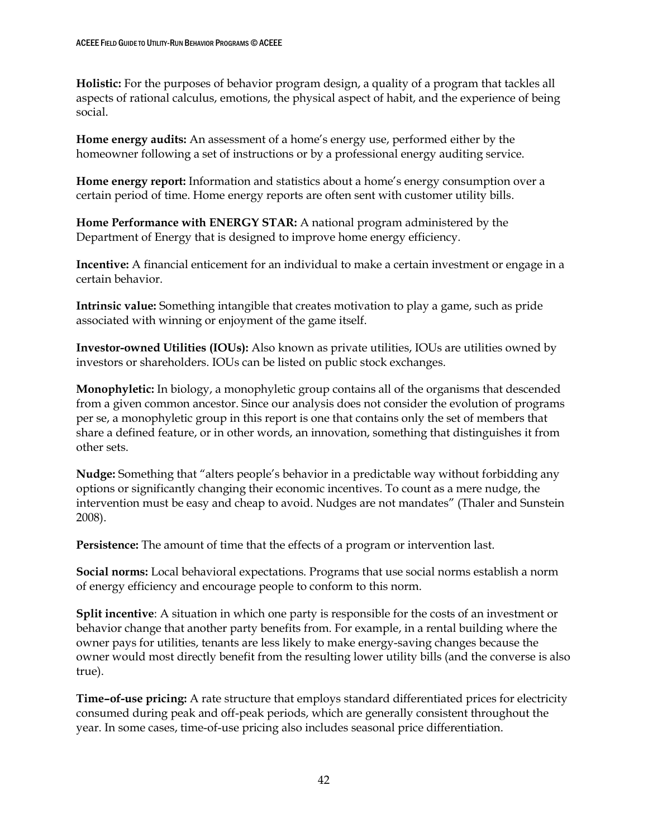**Holistic:** For the purposes of behavior program design, a quality of a program that tackles all aspects of rational calculus, emotions, the physical aspect of habit, and the experience of being social.

**Home energy audits:** An assessment of a home's energy use, performed either by the homeowner following a set of instructions or by a professional energy auditing service.

**Home energy report:** Information and statistics about a home's energy consumption over a certain period of time. Home energy reports are often sent with customer utility bills.

**Home Performance with ENERGY STAR:** A national program administered by the Department of Energy that is designed to improve home energy efficiency.

**Incentive:** A financial enticement for an individual to make a certain investment or engage in a certain behavior.

**Intrinsic value:** Something intangible that creates motivation to play a game, such as pride associated with winning or enjoyment of the game itself.

**Investor-owned Utilities (IOUs):** Also known as private utilities, IOUs are utilities owned by investors or shareholders. IOUs can be listed on public stock exchanges.

**Monophyletic:** In biology, a monophyletic group contains all of the organisms that descended from a given common ancestor. Since our analysis does not consider the evolution of programs per se, a monophyletic group in this report is one that contains only the set of members that share a defined feature, or in other words, an innovation, something that distinguishes it from other sets.

**Nudge:** Something that "alters people's behavior in a predictable way without forbidding any options or significantly changing their economic incentives. To count as a mere nudge, the intervention must be easy and cheap to avoid. Nudges are not mandates" (Thaler and Sunstein 2008).

**Persistence:** The amount of time that the effects of a program or intervention last.

**Social norms:** Local behavioral expectations. Programs that use social norms establish a norm of energy efficiency and encourage people to conform to this norm.

**Split incentive**: A situation in which one party is responsible for the costs of an investment or behavior change that another party benefits from. For example, in a rental building where the owner pays for utilities, tenants are less likely to make energy-saving changes because the owner would most directly benefit from the resulting lower utility bills (and the converse is also true).

**Time–of-use pricing:** A rate structure that employs standard differentiated prices for electricity consumed during peak and off-peak periods, which are generally consistent throughout the year. In some cases, time-of-use pricing also includes seasonal price differentiation.